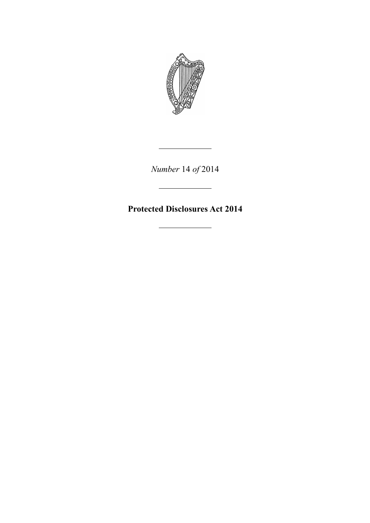

*Number* 14 *of* 2014

**Protected Disclosures Act 2014**

 $\overline{a}$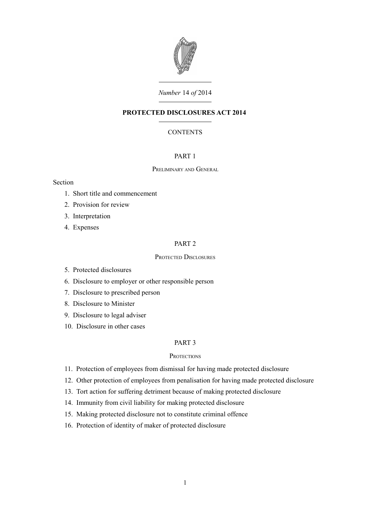

## *Number* 14 *of* 2014

## **PROTECTED DISCLOSURES ACT 2014**

## **CONTENTS**

## [PART 1](#page-6-0)

## P[RELIMINARY](#page-6-4) AND GENERAL

## Section

- 1. [Short title and commencement](#page-6-3)
- 2. [Provision for review](#page-6-2)
- 3. [Interpretation](#page-6-1)
- 4. [Expenses](#page-9-3)

## [PART 2](#page-9-2)

### PROTECTED D[ISCLOSURES](#page-9-1)

- 5. [Protected disclosures](#page-9-0)
- 6. [Disclosure to employer or other responsible person](#page-10-0)
- 7. [Disclosure to prescribed person](#page-11-1)
- 8. [Disclosure to Minister](#page-11-0)
- 9. [Disclosure to legal adviser](#page-12-1)
- 10. [Disclosure in other cases](#page-12-0)

## [PART 3](#page-13-2)

## **P[ROTECTIONS](#page-13-1)**

- 11. [Protection of employees from dismissal for having made protected disclosure](#page-13-0)
- 12. [Other protection of employees from penalisation for having made protected disclosure](#page-14-0)
- 13. [Tort action for suffering detriment because of making protected disclosure](#page-15-0)
- 14. [Immunity from civil liability for making protected disclosure](#page-16-2)
- 15. [Making protected disclosure not to constitute criminal offence](#page-16-1)
- 16. [Protection of identity of maker of protected disclosure](#page-16-0)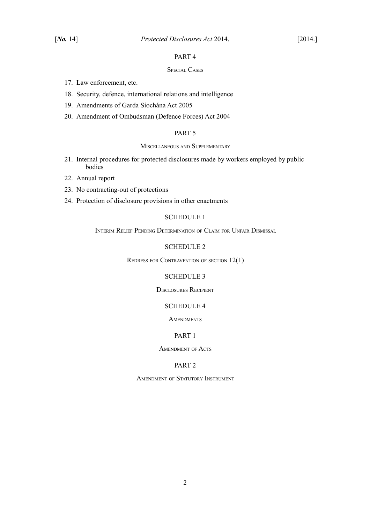## [PART 4](#page-17-2)

#### S[PECIAL](#page-17-1) CASES

- 17. [Law enforcement, etc.](#page-17-0)
- 18. [Security, defence, international relations and intelligence](#page-18-0)
- 19. [Amendments of Garda Síochána Act 2005](#page-19-0)
- 20. [Amendment of Ombudsman \(Defence Forces\) Act 2004](#page-20-0)

## [PART 5](#page-21-5)

### MISCELLANEOUS AND S[UPPLEMENTARY](#page-21-4)

- 21. [Internal procedures for protected disclosures made by workers employed by public](#page-21-3) [bodies](#page-21-3)
- 22. [Annual report](#page-21-2)
- 23. [No contracting-out of protections](#page-21-1)
- 24. [Protection of disclosure provisions in other enactments](#page-21-0)

## [SCHEDULE 1](#page-23-1)

INTERIM RELIEF PENDING D[ETERMINATION](#page-23-0) OF CLAIM FOR UNFAIR DISMISSAL

## [SCHEDULE 2](#page-27-1)

REDRESS FOR C[ONTRAVENTION](#page-27-0) OF SECTION 12(1)

## [SCHEDULE 3](#page-32-1)

D[ISCLOSURES](#page-32-0) RECIPIENT

### [SCHEDULE 4](#page-34-3)

**A[MENDMENTS](#page-34-2)** 

### [PART 1](#page-34-1)

A[MENDMENT](#page-34-0) OF ACTS

## [PART 2](#page-42-1)

AMENDMENT OF STATUTORY I[NSTRUMENT](#page-42-0)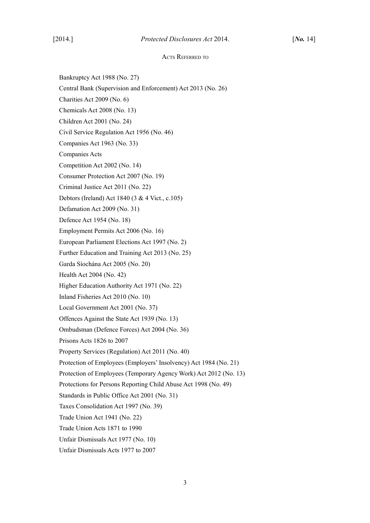#### ACTS REFERRED TO

Bankruptcy Act 1988 (No. 27) Central Bank (Supervision and Enforcement) Act 2013 (No. 26) Charities Act 2009 (No. 6) Chemicals Act 2008 (No. 13) Children Act 2001 (No. 24) Civil Service Regulation Act 1956 (No. 46) Companies Act 1963 (No. 33) Companies Acts Competition Act 2002 (No. 14) Consumer Protection Act 2007 (No. 19) Criminal Justice Act 2011 (No. 22) Debtors (Ireland) Act 1840 (3 & 4 Vict., c.105) Defamation Act 2009 (No. 31) Defence Act 1954 (No. 18) Employment Permits Act 2006 (No. 16) European Parliament Elections Act 1997 (No. 2) Further Education and Training Act 2013 (No. 25) Garda Síochána Act 2005 (No. 20) Health Act 2004 (No. 42) Higher Education Authority Act 1971 (No. 22) Inland Fisheries Act 2010 (No. 10) Local Government Act 2001 (No. 37) Offences Against the State Act 1939 (No. 13) Ombudsman (Defence Forces) Act 2004 (No. 36) Prisons Acts 1826 to 2007 Property Services (Regulation) Act 2011 (No. 40) Protection of Employees (Employers' Insolvency) Act 1984 (No. 21) Protection of Employees (Temporary Agency Work) Act 2012 (No. 13) Protections for Persons Reporting Child Abuse Act 1998 (No. 49) Standards in Public Office Act 2001 (No. 31) Taxes Consolidation Act 1997 (No. 39) Trade Union Act 1941 (No. 22) Trade Union Acts 1871 to 1990 Unfair Dismissals Act 1977 (No. 10) Unfair Dismissals Acts 1977 to 2007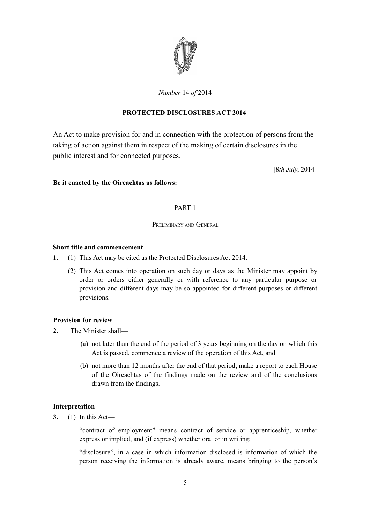

*Number* 14 *of* 2014

## **PROTECTED DISCLOSURES ACT 2014**

An Act to make provision for and in connection with the protection of persons from the taking of action against them in respect of the making of certain disclosures in the public interest and for connected purposes.

[8*th July*, 2014]

## **Be it enacted by the Oireachtas as follows:**

## <span id="page-6-5"></span><span id="page-6-0"></span>PART 1

<span id="page-6-4"></span>PRELIMINARY AND GENERAL

## <span id="page-6-3"></span>**Short title and commencement**

- **1.** (1) This Act may be cited as the Protected Disclosures Act 2014.
	- (2) This Act comes into operation on such day or days as the Minister may appoint by order or orders either generally or with reference to any particular purpose or provision and different days may be so appointed for different purposes or different provisions.

## <span id="page-6-2"></span>**Provision for review**

- **2.** The Minister shall—
	- (a) not later than the end of the period of 3 years beginning on the day on which this Act is passed, commence a review of the operation of this Act, and
	- (b) not more than 12 months after the end of that period, make a report to each House of the Oireachtas of the findings made on the review and of the conclusions drawn from the findings.

## <span id="page-6-1"></span>**Interpretation**

**3.** (1) In this Act—

"contract of employment" means contract of service or apprenticeship, whether express or implied, and (if express) whether oral or in writing;

"disclosure", in a case in which information disclosed is information of which the person receiving the information is already aware, means bringing to the person's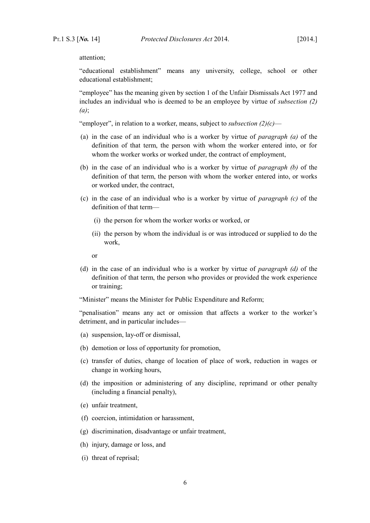attention;

"educational establishment" means any university, college, school or other educational establishment;

"employee" has the meaning given by section 1 of the Unfair Dismissals Act 1977 and includes an individual who is deemed to be an employee by virtue of *subsection [\(2\)](#page-9-5) [\(a\)](#page-9-6)*;

"employer", in relation to a worker, means, subject to *subsection [\(2\)](#page-9-5)[\(c\)](#page-9-4)*—

- (a) in the case of an individual who is a worker by virtue of *paragraph (a)* of the definition of that term, the person with whom the worker entered into, or for whom the worker works or worked under, the contract of employment,
- (b) in the case of an individual who is a worker by virtue of *paragraph (b)* of the definition of that term, the person with whom the worker entered into, or works or worked under, the contract,
- (c) in the case of an individual who is a worker by virtue of *paragraph (c)* of the definition of that term—
	- (i) the person for whom the worker works or worked, or
	- (ii) the person by whom the individual is or was introduced or supplied to do the work,

or

(d) in the case of an individual who is a worker by virtue of *paragraph (d)* of the definition of that term, the person who provides or provided the work experience or training;

"Minister" means the Minister for Public Expenditure and Reform;

"penalisation" means any act or omission that affects a worker to the worker's detriment, and in particular includes—

- (a) suspension, lay-off or dismissal,
- (b) demotion or loss of opportunity for promotion,
- (c) transfer of duties, change of location of place of work, reduction in wages or change in working hours,
- (d) the imposition or administering of any discipline, reprimand or other penalty (including a financial penalty),
- (e) unfair treatment,
- (f) coercion, intimidation or harassment,
- (g) discrimination, disadvantage or unfair treatment,
- (h) injury, damage or loss, and
- (i) threat of reprisal;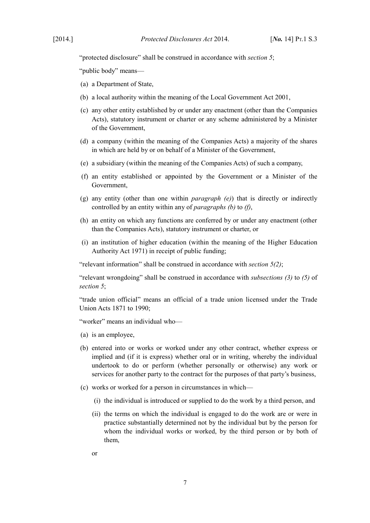"protected disclosure" shall be construed in accordance with *section [5](#page-9-7)*;

"public body" means—

- (a) a Department of State,
- <span id="page-8-1"></span>(b) a local authority within the meaning of the [Local Government Act 2001,](http://www.irishstatutebook.ie/2001/en/act/pub/0037/index.html)
- (c) any other entity established by or under any enactment (other than the Companies Acts), statutory instrument or charter or any scheme administered by a Minister of the Government,
- (d) a company (within the meaning of the Companies Acts) a majority of the shares in which are held by or on behalf of a Minister of the Government,
- <span id="page-8-2"></span>(e) a subsidiary (within the meaning of the Companies Acts) of such a company,
- <span id="page-8-0"></span>(f) an entity established or appointed by the Government or a Minister of the Government,
- (g) any entity (other than one within *paragraph [\(e\)](#page-8-2)*) that is directly or indirectly controlled by an entity within any of *paragraphs [\(b\)](#page-8-1)* to *[\(f\)](#page-8-0)*,
- (h) an entity on which any functions are conferred by or under any enactment (other than the Companies Acts), statutory instrument or charter, or
- (i) an institution of higher education (within the meaning of the Higher Education Authority Act 1971) in receipt of public funding;

"relevant information" shall be construed in accordance with *section [5](#page-9-7)[\(2\)](#page-10-3)*;

"relevant wrongdoing" shall be construed in accordance with *subsections [\(3\)](#page-10-2)* to *[\(5\)](#page-10-1)* of *section [5](#page-9-7)*;

"trade union official" means an official of a trade union licensed under the Trade Union Acts 1871 to 1990;

"worker" means an individual who—

- (a) is an employee,
- (b) entered into or works or worked under any other contract, whether express or implied and (if it is express) whether oral or in writing, whereby the individual undertook to do or perform (whether personally or otherwise) any work or services for another party to the contract for the purposes of that party's business,
- (c) works or worked for a person in circumstances in which—
	- (i) the individual is introduced or supplied to do the work by a third person, and
	- (ii) the terms on which the individual is engaged to do the work are or were in practice substantially determined not by the individual but by the person for whom the individual works or worked, by the third person or by both of them,

or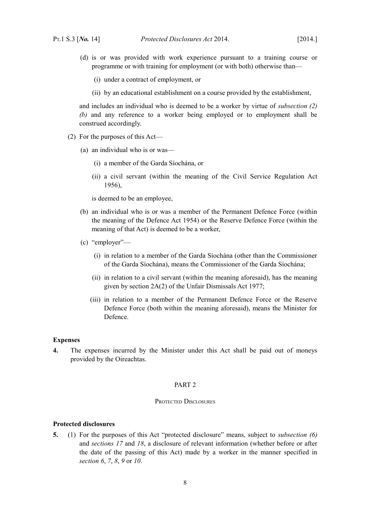- (d) is or was provided with work experience pursuant to a training course or programme or with training for employment (or with both) otherwise than—
	- (i) under a contract of employment, or
	- (ii) by an educational establishment on a course provided by the establishment,

and includes an individual who is deemed to be a worker by virtue of *subsection [\(2\)](#page-9-5) [\(b\)](#page-9-8)* and any reference to a worker being employed or to employment shall be construed accordingly.

- <span id="page-9-6"></span><span id="page-9-5"></span>(2) For the purposes of this Act—
	- (a) an individual who is or was—
		- (i) a member of the Garda Síochána, or
		- (ii) a civil servant (within the meaning of the [Civil Service Regulation Act](http://www.irishstatutebook.ie/1956/en/act/pub/0046/index.html) [1956\)](http://www.irishstatutebook.ie/1956/en/act/pub/0046/index.html),

is deemed to be an employee,

- <span id="page-9-8"></span>(b) an individual who is or was a member of the Permanent Defence Force (within the meaning of the [Defence Act 1954\)](http://www.irishstatutebook.ie/1954/en/act/pub/0018/index.html) or the Reserve Defence Force (within the meaning of that Act) is deemed to be a worker,
- <span id="page-9-4"></span>(c) "employer"—
	- (i) in relation to a member of the Garda Síochána (other than the Commissioner of the Garda Síochána), means the Commissioner of the Garda Síochána;
	- (ii) in relation to a civil servant (within the meaning aforesaid), has the meaning given by section 2A(2) of the [Unfair Dismissals Act 1977;](http://www.irishstatutebook.ie/1977/en/act/pub/0010/index.html)
	- (iii) in relation to a member of the Permanent Defence Force or the Reserve Defence Force (both within the meaning aforesaid), means the Minister for Defence.

#### <span id="page-9-3"></span>**Expenses**

**4.** The expenses incurred by the Minister under this Act shall be paid out of moneys provided by the Oireachtas.

#### <span id="page-9-9"></span><span id="page-9-2"></span>PART 2

#### <span id="page-9-1"></span>PROTECTED DISCLOSURES

#### <span id="page-9-0"></span>**Protected disclosures**

<span id="page-9-7"></span>**5.** (1) For the purposes of this Act "protected disclosure" means, subject to *subsection [\(6\)](#page-10-5)* and *sections [17](#page-17-3)* and *[18](#page-18-1)*, a disclosure of relevant information (whether before or after the date of the passing of this Act) made by a worker in the manner specified in *section [6](#page-10-4)*, *[7](#page-11-3)*, *[8](#page-11-2)*, *[9](#page-12-3)* or *[10](#page-12-2)*.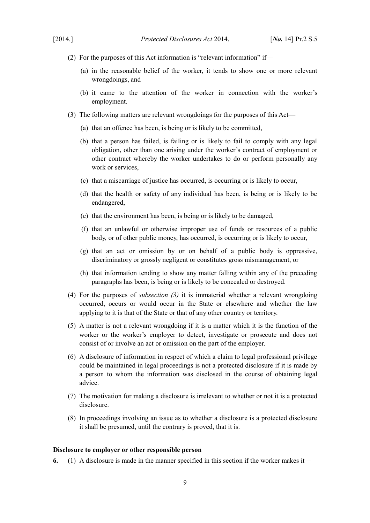- <span id="page-10-3"></span>(2) For the purposes of this Act information is "relevant information" if—
	- (a) in the reasonable belief of the worker, it tends to show one or more relevant wrongdoings, and
	- (b) it came to the attention of the worker in connection with the worker's employment.
- <span id="page-10-2"></span>(3) The following matters are relevant wrongdoings for the purposes of this Act—
	- (a) that an offence has been, is being or is likely to be committed,
	- (b) that a person has failed, is failing or is likely to fail to comply with any legal obligation, other than one arising under the worker's contract of employment or other contract whereby the worker undertakes to do or perform personally any work or services,
	- (c) that a miscarriage of justice has occurred, is occurring or is likely to occur,
	- (d) that the health or safety of any individual has been, is being or is likely to be endangered,
	- (e) that the environment has been, is being or is likely to be damaged,
	- (f) that an unlawful or otherwise improper use of funds or resources of a public body, or of other public money, has occurred, is occurring or is likely to occur,
	- (g) that an act or omission by or on behalf of a public body is oppressive, discriminatory or grossly negligent or constitutes gross mismanagement, or
	- (h) that information tending to show any matter falling within any of the preceding paragraphs has been, is being or is likely to be concealed or destroyed.
- (4) For the purposes of *subsection [\(3\)](#page-10-2)* it is immaterial whether a relevant wrongdoing occurred, occurs or would occur in the State or elsewhere and whether the law applying to it is that of the State or that of any other country or territory.
- <span id="page-10-1"></span>(5) A matter is not a relevant wrongdoing if it is a matter which it is the function of the worker or the worker's employer to detect, investigate or prosecute and does not consist of or involve an act or omission on the part of the employer.
- <span id="page-10-5"></span>(6) A disclosure of information in respect of which a claim to legal professional privilege could be maintained in legal proceedings is not a protected disclosure if it is made by a person to whom the information was disclosed in the course of obtaining legal advice.
- (7) The motivation for making a disclosure is irrelevant to whether or not it is a protected disclosure.
- (8) In proceedings involving an issue as to whether a disclosure is a protected disclosure it shall be presumed, until the contrary is proved, that it is.

#### <span id="page-10-0"></span>**Disclosure to employer or other responsible person**

<span id="page-10-6"></span><span id="page-10-4"></span>**6.** (1) A disclosure is made in the manner specified in this section if the worker makes it—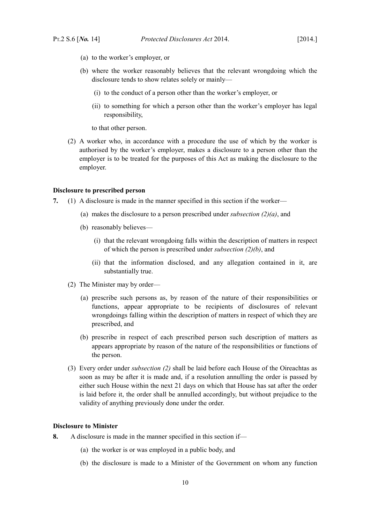- <span id="page-11-7"></span>(a) to the worker's employer, or
- (b) where the worker reasonably believes that the relevant wrongdoing which the disclosure tends to show relates solely or mainly—
	- (i) to the conduct of a person other than the worker's employer, or
	- (ii) to something for which a person other than the worker's employer has legal responsibility,

to that other person.

(2) A worker who, in accordance with a procedure the use of which by the worker is authorised by the worker's employer, makes a disclosure to a person other than the employer is to be treated for the purposes of this Act as making the disclosure to the employer.

#### <span id="page-11-1"></span>**Disclosure to prescribed person**

- <span id="page-11-6"></span><span id="page-11-4"></span><span id="page-11-3"></span>**7.** (1) A disclosure is made in the manner specified in this section if the worker—
	- (a) makes the disclosure to a person prescribed under *subsection [\(2\)](#page-11-4)[\(a\)](#page-11-6)*, and
	- (b) reasonably believes—
		- (i) that the relevant wrongdoing falls within the description of matters in respect of which the person is prescribed under *subsection [\(2\)](#page-11-4)[\(b\)](#page-11-5)*, and
		- (ii) that the information disclosed, and any allegation contained in it, are substantially true.
	- (2) The Minister may by order—
		- (a) prescribe such persons as, by reason of the nature of their responsibilities or functions, appear appropriate to be recipients of disclosures of relevant wrongdoings falling within the description of matters in respect of which they are prescribed, and
		- (b) prescribe in respect of each prescribed person such description of matters as appears appropriate by reason of the nature of the responsibilities or functions of the person.
	- (3) Every order under *subsection [\(2\)](#page-11-4)* shall be laid before each House of the Oireachtas as soon as may be after it is made and, if a resolution annulling the order is passed by either such House within the next 21 days on which that House has sat after the order is laid before it, the order shall be annulled accordingly, but without prejudice to the validity of anything previously done under the order.

### <span id="page-11-5"></span><span id="page-11-0"></span>**Disclosure to Minister**

- <span id="page-11-2"></span>**8.** A disclosure is made in the manner specified in this section if—
	- (a) the worker is or was employed in a public body, and
	- (b) the disclosure is made to a Minister of the Government on whom any function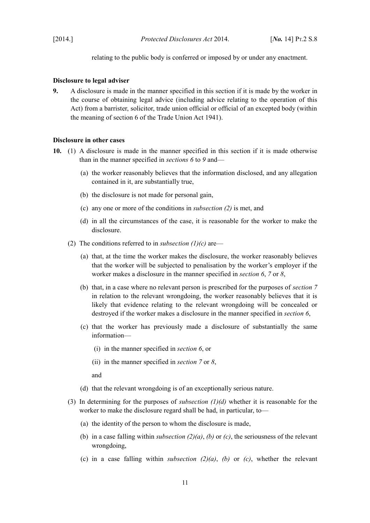relating to the public body is conferred or imposed by or under any enactment.

### <span id="page-12-1"></span>**Disclosure to legal adviser**

<span id="page-12-3"></span>**9.** A disclosure is made in the manner specified in this section if it is made by the worker in the course of obtaining legal advice (including advice relating to the operation of this Act) from a barrister, solicitor, trade union official or official of an excepted body (within the meaning of section 6 of the Trade Union Act 1941).

### <span id="page-12-0"></span>**Disclosure in other cases**

- <span id="page-12-11"></span><span id="page-12-10"></span><span id="page-12-9"></span><span id="page-12-8"></span><span id="page-12-7"></span><span id="page-12-6"></span><span id="page-12-2"></span>**10.** (1) A disclosure is made in the manner specified in this section if it is made otherwise than in the manner specified in *sections [6](#page-10-4)* to *[9](#page-12-3)* and—
	- (a) the worker reasonably believes that the information disclosed, and any allegation contained in it, are substantially true,
	- (b) the disclosure is not made for personal gain,
	- (c) any one or more of the conditions in *subsection [\(2\)](#page-12-7)* is met, and
	- (d) in all the circumstances of the case, it is reasonable for the worker to make the disclosure.
	- (2) The conditions referred to in *subsection [\(1\)](#page-12-9)[\(c\)](#page-12-10)* are—
		- (a) that, at the time the worker makes the disclosure, the worker reasonably believes that the worker will be subjected to penalisation by the worker's employer if the worker makes a disclosure in the manner specified in *section [6](#page-10-4)*, *[7](#page-11-3)* or *[8](#page-11-2)*,
		- (b) that, in a case where no relevant person is prescribed for the purposes of *section [7](#page-11-3)* in relation to the relevant wrongdoing, the worker reasonably believes that it is likely that evidence relating to the relevant wrongdoing will be concealed or destroyed if the worker makes a disclosure in the manner specified in *section [6](#page-10-4)*,
		- (c) that the worker has previously made a disclosure of substantially the same information—
			- (i) in the manner specified in *section [6](#page-10-4)*, or
			- (ii) in the manner specified in *section [7](#page-11-3)* or *[8](#page-11-2)*,

<span id="page-12-12"></span><span id="page-12-5"></span><span id="page-12-4"></span>and

- (d) that the relevant wrongdoing is of an exceptionally serious nature.
- (3) In determining for the purposes of *subsection [\(1\)](#page-12-9)[\(d\)](#page-12-8)* whether it is reasonable for the worker to make the disclosure regard shall be had, in particular, to—
	- (a) the identity of the person to whom the disclosure is made,
	- (b) in a case falling within *subsection [\(2\)](#page-12-7)[\(a\)](#page-12-6)*, *[\(b\)](#page-12-5)* or *[\(c\)](#page-12-4)*, the seriousness of the relevant wrongdoing,
	- (c) in a case falling within *subsection [\(2\)](#page-12-7)[\(a\)](#page-12-6)*, *[\(b\)](#page-12-5)* or *[\(c\)](#page-12-4)*, whether the relevant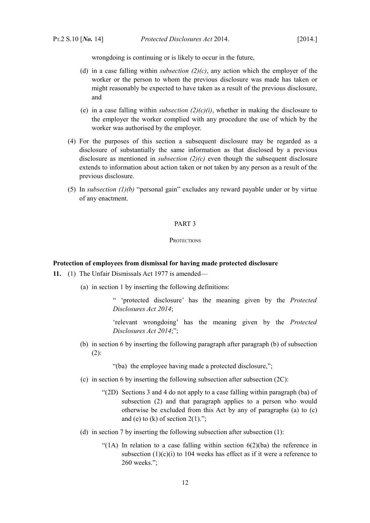wrongdoing is continuing or is likely to occur in the future,

- (d) in a case falling within *subsection [\(2\)](#page-12-7)[\(c\)](#page-12-4)*, any action which the employer of the worker or the person to whom the previous disclosure was made has taken or might reasonably be expected to have taken as a result of the previous disclosure, and
- (e) in a case falling within *subsection*  $(2)(c)(i)$  $(2)(c)(i)$  $(2)(c)(i)$ , whether in making the disclosure to the employer the worker complied with any procedure the use of which by the worker was authorised by the employer.
- (4) For the purposes of this section a subsequent disclosure may be regarded as a disclosure of substantially the same information as that disclosed by a previous disclosure as mentioned in *subsection [\(2\)](#page-12-7)[\(c\)](#page-12-4)* even though the subsequent disclosure extends to information about action taken or not taken by any person as a result of the previous disclosure.
- (5) In *subsection [\(1\)](#page-12-9)[\(b\)](#page-12-11)* "personal gain" excludes any reward payable under or by virtue of any enactment.

### <span id="page-13-2"></span>PART 3

#### <span id="page-13-1"></span>**PROTECTIONS**

#### <span id="page-13-0"></span>**Protection of employees from dismissal for having made protected disclosure**

- <span id="page-13-4"></span><span id="page-13-3"></span>**11.** (1) The [Unfair Dismissals Act 1977](http://www.irishstatutebook.ie/1977/en/act/pub/0010/index.html) is amended—
	- (a) in section 1 by inserting the following definitions:

" 'protected disclosure' has the meaning given by the *Protected Disclosures Act 2014*;

- 'relevant wrongdoing' has the meaning given by the *Protected Disclosures Act 2014*;";
- (b) in section 6 by inserting the following paragraph after paragraph (b) of subsection  $(2)$ :

"(ba) the employee having made a protected disclosure,";

- (c) in section 6 by inserting the following subsection after subsection (2C):
	- "(2D) Sections 3 and 4 do not apply to a case falling within paragraph (ba) of subsection (2) and that paragraph applies to a person who would otherwise be excluded from this Act by any of paragraphs (a) to (c) and (e) to (k) of section  $2(1)$ .";
- (d) in section 7 by inserting the following subsection after subsection (1):
	- "(1A) In relation to a case falling within section  $6(2)(ba)$  the reference in subsection  $(1)(c)(i)$  to 104 weeks has effect as if it were a reference to 260 weeks.";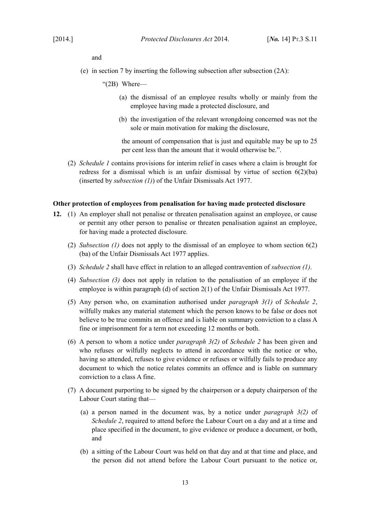and

(e) in section 7 by inserting the following subsection after subsection (2A):

"(2B) Where—

- (a) the dismissal of an employee results wholly or mainly from the employee having made a protected disclosure, and
- (b) the investigation of the relevant wrongdoing concerned was not the sole or main motivation for making the disclosure,

the amount of compensation that is just and equitable may be up to 25 per cent less than the amount that it would otherwise be.".

(2) *Schedule [1](#page-23-2)* contains provisions for interim relief in cases where a claim is brought for redress for a dismissal which is an unfair dismissal by virtue of section  $6(2)(ba)$ (inserted by *subsection [\(1\)](#page-13-3)*) of the [Unfair Dismissals Act 1977.](http://www.irishstatutebook.ie/1977/en/act/pub/0010/index.html)

#### <span id="page-14-0"></span>**Other protection of employees from penalisation for having made protected disclosure**

- <span id="page-14-5"></span><span id="page-14-4"></span><span id="page-14-3"></span><span id="page-14-2"></span><span id="page-14-1"></span>**12.** (1) An employer shall not penalise or threaten penalisation against an employee, or cause or permit any other person to penalise or threaten penalisation against an employee, for having made a protected disclosure.
	- (2) *Subsection [\(1\)](#page-14-2)* does not apply to the dismissal of an employee to whom section 6(2) (ba) of the [Unfair Dismissals Act 1977](http://www.irishstatutebook.ie/1977/en/act/pub/0010/index.html) applies.
	- (3) *Schedule [2](#page-27-2)* shall have effect in relation to an alleged contravention of *subsection [\(1\)](#page-14-2)*.
	- (4) *Subsection [\(3\)](#page-14-1)* does not apply in relation to the penalisation of an employee if the employee is within paragraph (d) of section 2(1) of the [Unfair Dismissals Act 1977.](http://www.irishstatutebook.ie/1977/en/act/pub/0010/index.html)
	- (5) Any person who, on examination authorised under *paragraph [3](#page-29-1)[\(1\)](#page-29-2)* of *Schedule [2](#page-27-2)*, wilfully makes any material statement which the person knows to be false or does not believe to be true commits an offence and is liable on summary conviction to a class A fine or imprisonment for a term not exceeding 12 months or both.
	- (6) A person to whom a notice under *paragraph [3](#page-29-1)[\(2\)](#page-29-0)* of *Schedule [2](#page-27-2)* has been given and who refuses or wilfully neglects to attend in accordance with the notice or who, having so attended, refuses to give evidence or refuses or wilfully fails to produce any document to which the notice relates commits an offence and is liable on summary conviction to a class A fine.
	- (7) A document purporting to be signed by the chairperson or a deputy chairperson of the Labour Court stating that—
		- (a) a person named in the document was, by a notice under *paragraph [3](#page-29-1)[\(2\)](#page-29-0)* of *Schedule [2](#page-27-2)*, required to attend before the Labour Court on a day and at a time and place specified in the document, to give evidence or produce a document, or both, and
		- (b) a sitting of the Labour Court was held on that day and at that time and place, and the person did not attend before the Labour Court pursuant to the notice or,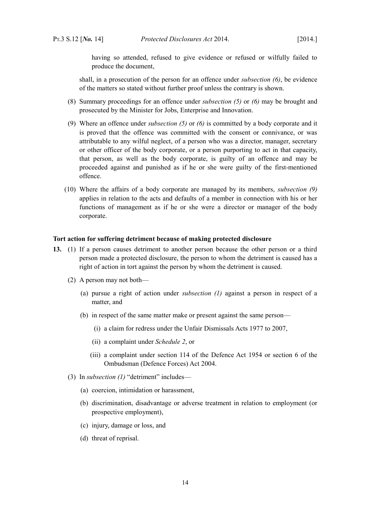having so attended, refused to give evidence or refused or wilfully failed to produce the document,

shall, in a prosecution of the person for an offence under *subsection [\(6\)](#page-14-3)*, be evidence of the matters so stated without further proof unless the contrary is shown.

- (8) Summary proceedings for an offence under *subsection [\(5\)](#page-14-4)* or *[\(6\)](#page-14-3)* may be brought and prosecuted by the Minister for Jobs, Enterprise and Innovation.
- <span id="page-15-2"></span>(9) Where an offence under *subsection [\(5\)](#page-14-4)* or *[\(6\)](#page-14-3)* is committed by a body corporate and it is proved that the offence was committed with the consent or connivance, or was attributable to any wilful neglect, of a person who was a director, manager, secretary or other officer of the body corporate, or a person purporting to act in that capacity, that person, as well as the body corporate, is guilty of an offence and may be proceeded against and punished as if he or she were guilty of the first-mentioned offence.
- (10) Where the affairs of a body corporate are managed by its members, *subsection [\(9\)](#page-15-2)* applies in relation to the acts and defaults of a member in connection with his or her functions of management as if he or she were a director or manager of the body corporate.

#### <span id="page-15-0"></span>**Tort action for suffering detriment because of making protected disclosure**

- <span id="page-15-1"></span>**13.** (1) If a person causes detriment to another person because the other person or a third person made a protected disclosure, the person to whom the detriment is caused has a right of action in tort against the person by whom the detriment is caused.
	- (2) A person may not both—
		- (a) pursue a right of action under *subsection [\(1\)](#page-15-1)* against a person in respect of a matter, and
		- (b) in respect of the same matter make or present against the same person—
			- (i) a claim for redress under the Unfair Dismissals Acts 1977 to 2007,
			- (ii) a complaint under *Schedule [2](#page-27-2)*, or
			- (iii) a complaint under section 114 of the [Defence Act 1954](http://www.irishstatutebook.ie/1954/en/act/pub/0018/index.html) or section 6 of the [Ombudsman \(Defence Forces\) Act 2004.](http://www.irishstatutebook.ie/2004/en/act/pub/0036/index.html)
	- (3) In *subsection [\(1\)](#page-15-1)* "detriment" includes—
		- (a) coercion, intimidation or harassment,
		- (b) discrimination, disadvantage or adverse treatment in relation to employment (or prospective employment),
		- (c) injury, damage or loss, and
		- (d) threat of reprisal.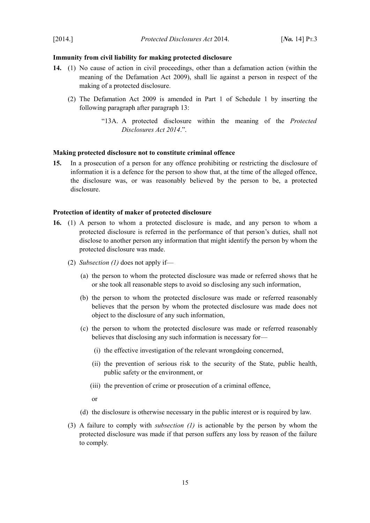### <span id="page-16-2"></span>**Immunity from civil liability for making protected disclosure**

- **14.** (1) No cause of action in civil proceedings, other than a defamation action (within the meaning of the [Defamation Act 2009\)](http://www.irishstatutebook.ie/2009/en/act/pub/0031/index.html), shall lie against a person in respect of the making of a protected disclosure.
	- (2) The [Defamation Act 2009](http://www.irishstatutebook.ie/2009/en/act/pub/0031/index.html) is amended in Part 1 of Schedule 1 by inserting the following paragraph after paragraph 13:
		- "13A. A protected disclosure within the meaning of the *Protected Disclosures Act 2014*.".

### <span id="page-16-1"></span>**Making protected disclosure not to constitute criminal offence**

**15.** In a prosecution of a person for any offence prohibiting or restricting the disclosure of information it is a defence for the person to show that, at the time of the alleged offence, the disclosure was, or was reasonably believed by the person to be, a protected disclosure.

#### <span id="page-16-0"></span>**Protection of identity of maker of protected disclosure**

- <span id="page-16-3"></span>**16.** (1) A person to whom a protected disclosure is made, and any person to whom a protected disclosure is referred in the performance of that person's duties, shall not disclose to another person any information that might identify the person by whom the protected disclosure was made.
	- (2) *Subsection [\(1\)](#page-16-3)* does not apply if—
		- (a) the person to whom the protected disclosure was made or referred shows that he or she took all reasonable steps to avoid so disclosing any such information,
		- (b) the person to whom the protected disclosure was made or referred reasonably believes that the person by whom the protected disclosure was made does not object to the disclosure of any such information,
		- (c) the person to whom the protected disclosure was made or referred reasonably believes that disclosing any such information is necessary for—
			- (i) the effective investigation of the relevant wrongdoing concerned,
			- (ii) the prevention of serious risk to the security of the State, public health, public safety or the environment, or
			- (iii) the prevention of crime or prosecution of a criminal offence,
			- or
		- (d) the disclosure is otherwise necessary in the public interest or is required by law.
	- (3) A failure to comply with *subsection [\(1\)](#page-16-3)* is actionable by the person by whom the protected disclosure was made if that person suffers any loss by reason of the failure to comply.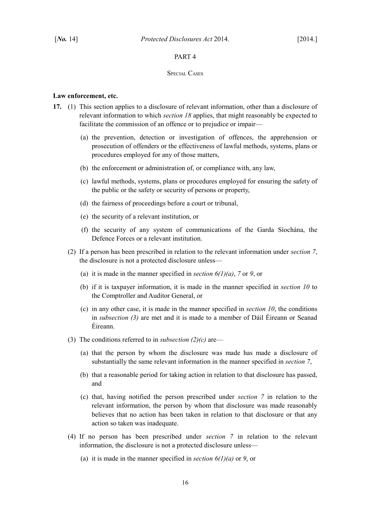### <span id="page-17-2"></span>PART 4

### <span id="page-17-1"></span>SPECIAL CASES

### <span id="page-17-0"></span>**Law enforcement, etc.**

- <span id="page-17-7"></span><span id="page-17-6"></span><span id="page-17-5"></span><span id="page-17-4"></span><span id="page-17-3"></span>**17.** (1) This section applies to a disclosure of relevant information, other than a disclosure of relevant information to which *section [18](#page-18-1)* applies, that might reasonably be expected to facilitate the commission of an offence or to prejudice or impair—
	- (a) the prevention, detection or investigation of offences, the apprehension or prosecution of offenders or the effectiveness of lawful methods, systems, plans or procedures employed for any of those matters,
	- (b) the enforcement or administration of, or compliance with, any law,
	- (c) lawful methods, systems, plans or procedures employed for ensuring the safety of the public or the safety or security of persons or property,
	- (d) the fairness of proceedings before a court or tribunal,
	- (e) the security of a relevant institution, or
	- (f) the security of any system of communications of the Garda Síochána, the Defence Forces or a relevant institution.
	- (2) If a person has been prescribed in relation to the relevant information under *section [7](#page-11-3)*, the disclosure is not a protected disclosure unless—
		- (a) it is made in the manner specified in *section [6](#page-10-4)[\(1\)](#page-10-6)[\(a\)](#page-11-7)*, *[7](#page-11-3)* or *[9](#page-12-3)*, or
		- (b) if it is taxpayer information, it is made in the manner specified in *section [10](#page-12-2)* to the Comptroller and Auditor General, or
		- (c) in any other case, it is made in the manner specified in *section [10](#page-12-2)*, the conditions in *subsection [\(3\)](#page-17-6)* are met and it is made to a member of Dáil Éireann or Seanad Éireann.
	- (3) The conditions referred to in *subsection [\(2\)](#page-17-5)[\(c\)](#page-17-4)* are—
		- (a) that the person by whom the disclosure was made has made a disclosure of substantially the same relevant information in the manner specified in *section [7](#page-11-3)*,
		- (b) that a reasonable period for taking action in relation to that disclosure has passed, and
		- (c) that, having notified the person prescribed under *section [7](#page-11-3)* in relation to the relevant information, the person by whom that disclosure was made reasonably believes that no action has been taken in relation to that disclosure or that any action so taken was inadequate.
	- (4) If no person has been prescribed under *section [7](#page-11-3)* in relation to the relevant information, the disclosure is not a protected disclosure unless—
		- [\(a\)](#page-11-7) it is made in the manner specified in *section*  $6(1)(a)$  $6(1)(a)$  $6(1)(a)$  or [9](#page-12-3), or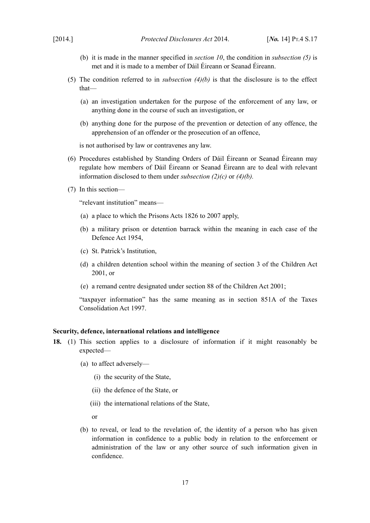- <span id="page-18-2"></span>(b) it is made in the manner specified in *section [10](#page-12-2)*, the condition in *subsection [\(5\)](#page-18-3)* is met and it is made to a member of Dáil Éireann or Seanad Éireann.
- <span id="page-18-3"></span>(5) The condition referred to in *subsection*  $(4)(b)$  $(4)(b)$  is that the disclosure is to the effect that—
	- (a) an investigation undertaken for the purpose of the enforcement of any law, or anything done in the course of such an investigation, or
	- (b) anything done for the purpose of the prevention or detection of any offence, the apprehension of an offender or the prosecution of an offence,

is not authorised by law or contravenes any law.

- (6) Procedures established by Standing Orders of Dáil Éireann or Seanad Éireann may regulate how members of Dáil Éireann or Seanad Éireann are to deal with relevant information disclosed to them under *subsection [\(2\)](#page-17-5)[\(c\)](#page-17-4)* or *[\(4\)](#page-17-7)[\(b\).](#page-18-2)*
- (7) In this section—

"relevant institution" means—

- (a) a place to which the Prisons Acts 1826 to 2007 apply,
- (b) a military prison or detention barrack within the meaning in each case of the [Defence Act 1954,](http://www.irishstatutebook.ie/1954/en/act/pub/0018/index.html)
- (c) St. Patrick's Institution,
- (d) a children detention school within the meaning of section 3 of the [Children Act](http://www.irishstatutebook.ie/2001/en/act/pub/0024/index.html) [2001,](http://www.irishstatutebook.ie/2001/en/act/pub/0024/index.html) or
- (e) a remand centre designated under section 88 of the [Children Act 2001;](http://www.irishstatutebook.ie/2001/en/act/pub/0024/index.html)

"taxpayer information" has the same meaning as in section 851A of the [Taxes](http://www.irishstatutebook.ie/1997/en/act/pub/0039/index.html) [Consolidation Act 1997.](http://www.irishstatutebook.ie/1997/en/act/pub/0039/index.html)

### <span id="page-18-0"></span>**Security, defence, international relations and intelligence**

- <span id="page-18-4"></span><span id="page-18-1"></span>**18.** (1) This section applies to a disclosure of information if it might reasonably be expected—
	- (a) to affect adversely—
		- (i) the security of the State,
		- (ii) the defence of the State, or
		- (iii) the international relations of the State,

or

(b) to reveal, or lead to the revelation of, the identity of a person who has given information in confidence to a public body in relation to the enforcement or administration of the law or any other source of such information given in confidence.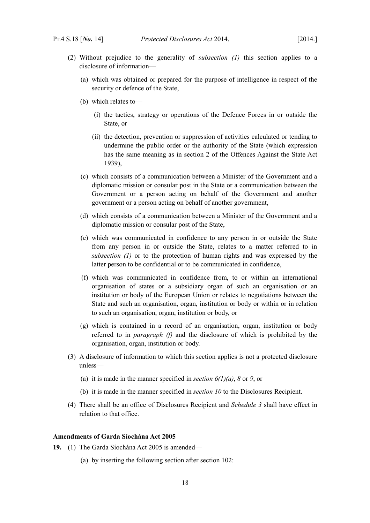- (2) Without prejudice to the generality of *subsection [\(1\)](#page-18-4)* this section applies to a disclosure of information—
	- (a) which was obtained or prepared for the purpose of intelligence in respect of the security or defence of the State,
	- (b) which relates to—
		- (i) the tactics, strategy or operations of the Defence Forces in or outside the State, or
		- (ii) the detection, prevention or suppression of activities calculated or tending to undermine the public order or the authority of the State (which expression has the same meaning as in section 2 of the [Offences Against the State Act](http://www.irishstatutebook.ie/1939/en/act/pub/0013/index.html) [1939\)](http://www.irishstatutebook.ie/1939/en/act/pub/0013/index.html),
	- (c) which consists of a communication between a Minister of the Government and a diplomatic mission or consular post in the State or a communication between the Government or a person acting on behalf of the Government and another government or a person acting on behalf of another government,
	- (d) which consists of a communication between a Minister of the Government and a diplomatic mission or consular post of the State,
	- (e) which was communicated in confidence to any person in or outside the State from any person in or outside the State, relates to a matter referred to in *subsection [\(1\)](#page-18-4)* or to the protection of human rights and was expressed by the latter person to be confidential or to be communicated in confidence,
	- (f) which was communicated in confidence from, to or within an international organisation of states or a subsidiary organ of such an organisation or an institution or body of the European Union or relates to negotiations between the State and such an organisation, organ, institution or body or within or in relation to such an organisation, organ, institution or body, or
	- (g) which is contained in a record of an organisation, organ, institution or body referred to in *paragraph [\(f\)](#page-19-1)* and the disclosure of which is prohibited by the organisation, organ, institution or body.
- <span id="page-19-1"></span>(3) A disclosure of information to which this section applies is not a protected disclosure unless—
	- (a) it is made in the manner specified in *section [6](#page-10-4)[\(1\)](#page-10-6)[\(a\)](#page-11-7)*, *[8](#page-11-2)* or *[9](#page-12-3)*, or
	- (b) it is made in the manner specified in *section [10](#page-12-2)* to the Disclosures Recipient.
- (4) There shall be an office of Disclosures Recipient and *Schedule [3](#page-32-2)* shall have effect in relation to that office.

#### <span id="page-19-0"></span>**Amendments of [Garda Síochána Act 2005](http://www.irishstatutebook.ie/2005/en/act/pub/0020/index.html)**

**19.** (1) The [Garda Síochána Act 2005](http://www.irishstatutebook.ie/2005/en/act/pub/0020/index.html) is amended—

(a) by inserting the following section after section 102: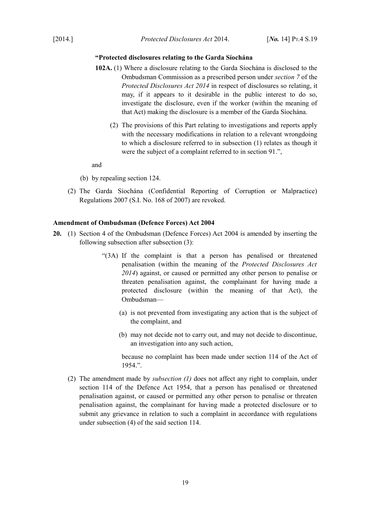### **"Protected disclosures relating to the Garda Síochána**

- **102A.** (1) Where a disclosure relating to the Garda Síochána is disclosed to the Ombudsman Commission as a prescribed person under *section [7](#page-11-3)* of the *Protected Disclosures Act 2014* in respect of disclosures so relating, it may, if it appears to it desirable in the public interest to do so, investigate the disclosure, even if the worker (within the meaning of that Act) making the disclosure is a member of the Garda Síochána.
	- (2) The provisions of this Part relating to investigations and reports apply with the necessary modifications in relation to a relevant wrongdoing to which a disclosure referred to in subsection (1) relates as though it were the subject of a complaint referred to in section 91.",

and

- (b) by repealing section 124.
- (2) The Garda Síochána (Confidential Reporting of Corruption or Malpractice) Regulations 2007 (S.I. No. 168 of 2007) are revoked.

#### <span id="page-20-0"></span>**Amendment of [Ombudsman \(Defence Forces\) Act 2004](http://www.irishstatutebook.ie/2004/en/act/pub/0036/index.html)**

- <span id="page-20-1"></span>**20.** (1) Section 4 of the [Ombudsman \(Defence Forces\) Act 2004](http://www.irishstatutebook.ie/2004/en/act/pub/0036/index.html) is amended by inserting the following subsection after subsection (3):
	- "(3A) If the complaint is that a person has penalised or threatened penalisation (within the meaning of the *Protected Disclosures Act 2014*) against, or caused or permitted any other person to penalise or threaten penalisation against, the complainant for having made a protected disclosure (within the meaning of that Act), the Ombudsman—
		- (a) is not prevented from investigating any action that is the subject of the complaint, and
		- (b) may not decide not to carry out, and may not decide to discontinue, an investigation into any such action,

because no complaint has been made under section 114 of the Act of  $1954$ "

(2) The amendment made by *subsection [\(1\)](#page-20-1)* does not affect any right to complain, under section 114 of the [Defence Act 1954,](http://www.irishstatutebook.ie/1954/en/act/pub/0018/index.html) that a person has penalised or threatened penalisation against, or caused or permitted any other person to penalise or threaten penalisation against, the complainant for having made a protected disclosure or to submit any grievance in relation to such a complaint in accordance with regulations under subsection (4) of the said section 114.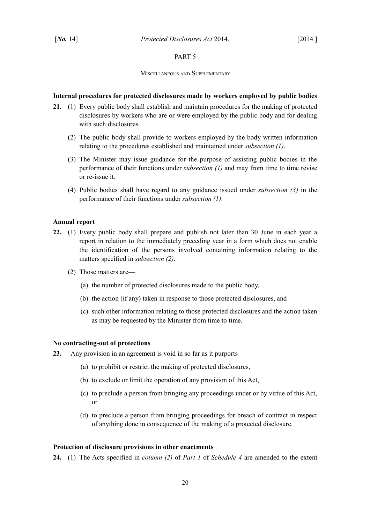### <span id="page-21-5"></span>PART 5

#### <span id="page-21-4"></span>MISCELLANEOUS AND SUPPLEMENTARY

### <span id="page-21-3"></span>**Internal procedures for protected disclosures made by workers employed by public bodies**

- <span id="page-21-7"></span>**21.** (1) Every public body shall establish and maintain procedures for the making of protected disclosures by workers who are or were employed by the public body and for dealing with such disclosures.
	- (2) The public body shall provide to workers employed by the body written information relating to the procedures established and maintained under *subsection [\(1\)](#page-21-7)*.
	- (3) The Minister may issue guidance for the purpose of assisting public bodies in the performance of their functions under *subsection [\(1\)](#page-21-7)* and may from time to time revise or re-issue it.
	- (4) Public bodies shall have regard to any guidance issued under *subsection (3)* in the performance of their functions under *subsection [\(1\)](#page-21-7)*.

### <span id="page-21-2"></span>**Annual report**

- <span id="page-21-6"></span>**22.** (1) Every public body shall prepare and publish not later than 30 June in each year a report in relation to the immediately preceding year in a form which does not enable the identification of the persons involved containing information relating to the matters specified in *subsection [\(2\)](#page-21-6)*.
	- (2) Those matters are—
		- (a) the number of protected disclosures made to the public body,
		- (b) the action (if any) taken in response to those protected disclosures, and
		- (c) such other information relating to those protected disclosures and the action taken as may be requested by the Minister from time to time.

### <span id="page-21-1"></span>**No contracting-out of protections**

- **23.** Any provision in an agreement is void in so far as it purports—
	- (a) to prohibit or restrict the making of protected disclosures,
	- (b) to exclude or limit the operation of any provision of this Act,
	- (c) to preclude a person from bringing any proceedings under or by virtue of this Act, or
	- (d) to preclude a person from bringing proceedings for breach of contract in respect of anything done in consequence of the making of a protected disclosure.

### <span id="page-21-0"></span>**Protection of disclosure provisions in other enactments**

<span id="page-21-9"></span><span id="page-21-8"></span>**24.** (1) The Acts specified in *column (2)* of *Part [1](#page-6-5)* of *Schedule [4](#page-34-4)* are amended to the extent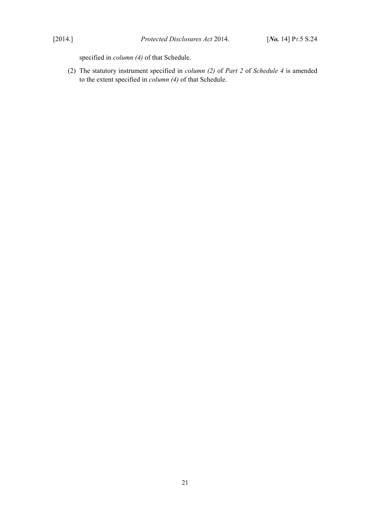specified in *column (4)* of that Schedule.

<span id="page-22-0"></span>(2) The statutory instrument specified in *column (2)* of *Part [2](#page-9-9)* of *Schedule [4](#page-34-4)* is amended to the extent specified in *column (4)* of that Schedule.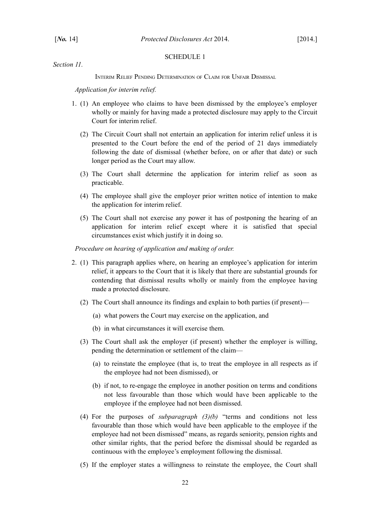#### <span id="page-23-2"></span><span id="page-23-1"></span>SCHEDULE 1

*Section [11.](#page-13-4)*

<span id="page-23-0"></span>INTERIM RELIEF PENDING DETERMINATION OF CLAIM FOR UNFAIR DISMISSAL

*Application for interim relief.*

- <span id="page-23-7"></span>1. (1) An employee who claims to have been dismissed by the employee's employer wholly or mainly for having made a protected disclosure may apply to the Circuit Court for interim relief.
	- (2) The Circuit Court shall not entertain an application for interim relief unless it is presented to the Court before the end of the period of 21 days immediately following the date of dismissal (whether before, on or after that date) or such longer period as the Court may allow.
	- (3) The Court shall determine the application for interim relief as soon as practicable.
	- (4) The employee shall give the employer prior written notice of intention to make the application for interim relief.
	- (5) The Court shall not exercise any power it has of postponing the hearing of an application for interim relief except where it is satisfied that special circumstances exist which justify it in doing so.

<span id="page-23-6"></span>*Procedure on hearing of application and making of order.*

- <span id="page-23-5"></span><span id="page-23-4"></span><span id="page-23-3"></span>2. (1) This paragraph applies where, on hearing an employee's application for interim relief, it appears to the Court that it is likely that there are substantial grounds for contending that dismissal results wholly or mainly from the employee having made a protected disclosure.
	- (2) The Court shall announce its findings and explain to both parties (if present)—
		- (a) what powers the Court may exercise on the application, and
		- (b) in what circumstances it will exercise them.
	- (3) The Court shall ask the employer (if present) whether the employer is willing, pending the determination or settlement of the claim—
		- (a) to reinstate the employee (that is, to treat the employee in all respects as if the employee had not been dismissed), or
		- (b) if not, to re-engage the employee in another position on terms and conditions not less favourable than those which would have been applicable to the employee if the employee had not been dismissed.
	- (4) For the purposes of *subparagraph [\(3\)](#page-23-4)[\(b\)](#page-23-3)* "terms and conditions not less favourable than those which would have been applicable to the employee if the employee had not been dismissed" means, as regards seniority, pension rights and other similar rights, that the period before the dismissal should be regarded as continuous with the employee's employment following the dismissal.
	- (5) If the employer states a willingness to reinstate the employee, the Court shall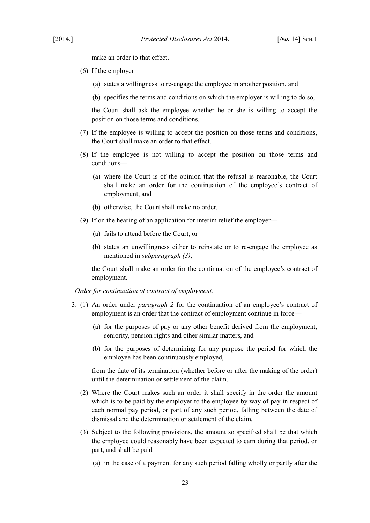make an order to that effect.

- (6) If the employer—
	- (a) states a willingness to re-engage the employee in another position, and
	- (b) specifies the terms and conditions on which the employer is willing to do so,

the Court shall ask the employee whether he or she is willing to accept the position on those terms and conditions.

- (7) If the employee is willing to accept the position on those terms and conditions, the Court shall make an order to that effect.
- (8) If the employee is not willing to accept the position on those terms and conditions—
	- (a) where the Court is of the opinion that the refusal is reasonable, the Court shall make an order for the continuation of the employee's contract of employment, and
	- (b) otherwise, the Court shall make no order.
- (9) If on the hearing of an application for interim relief the employer—
	- (a) fails to attend before the Court, or
	- (b) states an unwillingness either to reinstate or to re-engage the employee as mentioned in *subparagraph [\(3\)](#page-23-4)*,

the Court shall make an order for the continuation of the employee's contract of employment.

*Order for continuation of contract of employment.*

- <span id="page-24-1"></span>3. (1) An order under *paragraph [2](#page-23-5)* for the continuation of an employee's contract of employment is an order that the contract of employment continue in force-
	- (a) for the purposes of pay or any other benefit derived from the employment, seniority, pension rights and other similar matters, and
	- (b) for the purposes of determining for any purpose the period for which the employee has been continuously employed,

from the date of its termination (whether before or after the making of the order) until the determination or settlement of the claim.

- <span id="page-24-0"></span>(2) Where the Court makes such an order it shall specify in the order the amount which is to be paid by the employer to the employee by way of pay in respect of each normal pay period, or part of any such period, falling between the date of dismissal and the determination or settlement of the claim.
- (3) Subject to the following provisions, the amount so specified shall be that which the employee could reasonably have been expected to earn during that period, or part, and shall be paid—
	- (a) in the case of a payment for any such period falling wholly or partly after the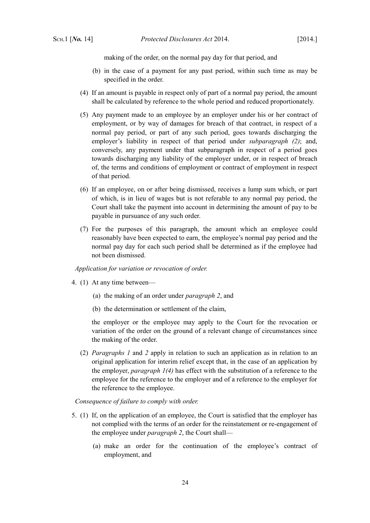making of the order, on the normal pay day for that period, and

- (b) in the case of a payment for any past period, within such time as may be specified in the order.
- (4) If an amount is payable in respect only of part of a normal pay period, the amount shall be calculated by reference to the whole period and reduced proportionately.
- (5) Any payment made to an employee by an employer under his or her contract of employment, or by way of damages for breach of that contract, in respect of a normal pay period, or part of any such period, goes towards discharging the employer's liability in respect of that period under *subparagraph [\(2\)](#page-24-0)*; and, conversely, any payment under that subparagraph in respect of a period goes towards discharging any liability of the employer under, or in respect of breach of, the terms and conditions of employment or contract of employment in respect of that period.
- (6) If an employee, on or after being dismissed, receives a lump sum which, or part of which, is in lieu of wages but is not referable to any normal pay period, the Court shall take the payment into account in determining the amount of pay to be payable in pursuance of any such order.
- (7) For the purposes of this paragraph, the amount which an employee could reasonably have been expected to earn, the employee's normal pay period and the normal pay day for each such period shall be determined as if the employee had not been dismissed.

*Application for variation or revocation of order.*

- 4. (1) At any time between—
	- (a) the making of an order under *paragraph [2](#page-23-5)*, and
	- (b) the determination or settlement of the claim,

the employer or the employee may apply to the Court for the revocation or variation of the order on the ground of a relevant change of circumstances since the making of the order.

(2) *Paragraphs [1](#page-23-7)* and *[2](#page-23-5)* apply in relation to such an application as in relation to an original application for interim relief except that, in the case of an application by the employer, *paragraph [1](#page-23-7)[\(4\)](#page-23-6)* has effect with the substitution of a reference to the employee for the reference to the employer and of a reference to the employer for the reference to the employee.

*Consequence of failure to comply with order.*

- <span id="page-25-1"></span><span id="page-25-0"></span>5. (1) If, on the application of an employee, the Court is satisfied that the employer has not complied with the terms of an order for the reinstatement or re-engagement of the employee under *paragraph [2](#page-23-5)*, the Court shall—
	- (a) make an order for the continuation of the employee's contract of employment, and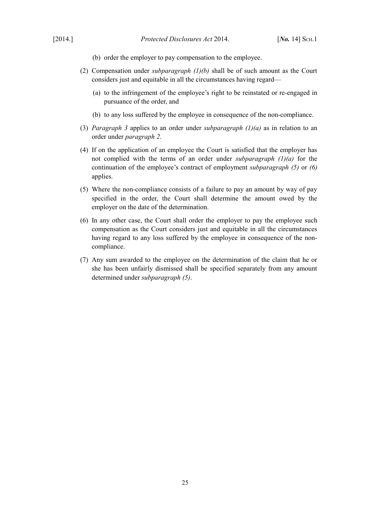- <span id="page-26-2"></span>(b) order the employer to pay compensation to the employee.
- (2) Compensation under *subparagraph [\(1\)](#page-25-1)[\(b\)](#page-26-2)* shall be of such amount as the Court considers just and equitable in all the circumstances having regard—
	- (a) to the infringement of the employee's right to be reinstated or re-engaged in pursuance of the order, and
	- (b) to any loss suffered by the employee in consequence of the non-compliance.
- (3) *Paragraph [3](#page-24-1)* applies to an order under *subparagraph [\(1\)](#page-25-1)[\(a\)](#page-25-0)* as in relation to an order under *paragraph [2](#page-23-5)*.
- (4) If on the application of an employee the Court is satisfied that the employer has not complied with the terms of an order under *subparagraph [\(1\)](#page-25-1)[\(a\)](#page-25-0)* for the continuation of the employee's contract of employment *subparagraph [\(5\)](#page-26-0)* or *[\(6\)](#page-26-1)* applies.
- <span id="page-26-0"></span>(5) Where the non-compliance consists of a failure to pay an amount by way of pay specified in the order, the Court shall determine the amount owed by the employer on the date of the determination.
- <span id="page-26-1"></span>(6) In any other case, the Court shall order the employer to pay the employee such compensation as the Court considers just and equitable in all the circumstances having regard to any loss suffered by the employee in consequence of the noncompliance.
- (7) Any sum awarded to the employee on the determination of the claim that he or she has been unfairly dismissed shall be specified separately from any amount determined under *subparagraph [\(5\)](#page-26-0)*.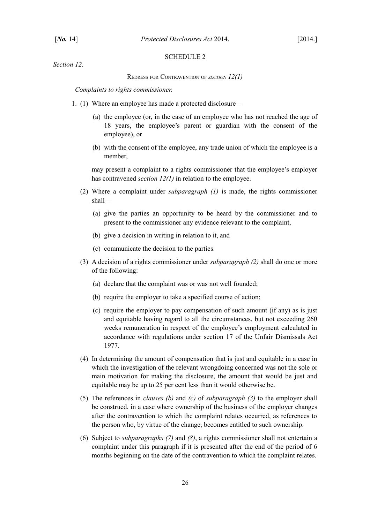#### <span id="page-27-2"></span><span id="page-27-1"></span>SCHEDULE 2

*Section [12.](#page-14-5)*

<span id="page-27-0"></span>REDRESS FOR CONTRAVENTION OF *SECTION [12](#page-14-5)[\(1\)](#page-14-2)*

*Complaints to rights commissioner.*

- <span id="page-27-8"></span><span id="page-27-7"></span>1. (1) Where an employee has made a protected disclosure—
	- (a) the employee (or, in the case of an employee who has not reached the age of 18 years, the employee's parent or guardian with the consent of the employee), or
	- (b) with the consent of the employee, any trade union of which the employee is a member,

may present a complaint to a rights commissioner that the employee's employer has contravened *section [12](#page-14-5)[\(1\)](#page-14-2)* in relation to the employee.

- <span id="page-27-6"></span>(2) Where a complaint under *subparagraph [\(1\)](#page-27-7)* is made, the rights commissioner shall—
	- (a) give the parties an opportunity to be heard by the commissioner and to present to the commissioner any evidence relevant to the complaint,
	- (b) give a decision in writing in relation to it, and
	- (c) communicate the decision to the parties.
- <span id="page-27-10"></span><span id="page-27-5"></span><span id="page-27-4"></span><span id="page-27-3"></span>(3) A decision of a rights commissioner under *subparagraph [\(2\)](#page-27-6)* shall do one or more of the following:
	- (a) declare that the complaint was or was not well founded;
	- (b) require the employer to take a specified course of action;
	- (c) require the employer to pay compensation of such amount (if any) as is just and equitable having regard to all the circumstances, but not exceeding 260 weeks remuneration in respect of the employee's employment calculated in accordance with regulations under section 17 of the [Unfair Dismissals Act](http://www.irishstatutebook.ie/1977/en/act/pub/0010/index.html) [1977.](http://www.irishstatutebook.ie/1977/en/act/pub/0010/index.html)
- (4) In determining the amount of compensation that is just and equitable in a case in which the investigation of the relevant wrongdoing concerned was not the sole or main motivation for making the disclosure, the amount that would be just and equitable may be up to 25 per cent less than it would otherwise be.
- (5) The references in *clauses [\(b\)](#page-27-5)* and *[\(c\)](#page-27-4)* of *subparagraph [\(3\)](#page-27-3)* to the employer shall be construed, in a case where ownership of the business of the employer changes after the contravention to which the complaint relates occurred, as references to the person who, by virtue of the change, becomes entitled to such ownership.
- <span id="page-27-9"></span>(6) Subject to *subparagraphs [\(7\)](#page-28-1)* and *[\(8\)](#page-28-0)*, a rights commissioner shall not entertain a complaint under this paragraph if it is presented after the end of the period of 6 months beginning on the date of the contravention to which the complaint relates.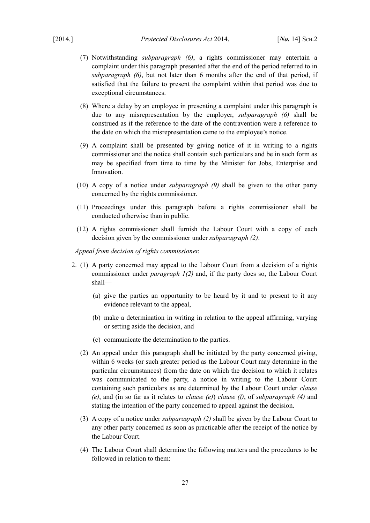- <span id="page-28-1"></span>(7) Notwithstanding *subparagraph [\(6\)](#page-27-9)*, a rights commissioner may entertain a complaint under this paragraph presented after the end of the period referred to in *subparagraph [\(6\)](#page-27-9)*, but not later than 6 months after the end of that period, if satisfied that the failure to present the complaint within that period was due to exceptional circumstances.
- <span id="page-28-0"></span>(8) Where a delay by an employee in presenting a complaint under this paragraph is due to any misrepresentation by the employer, *subparagraph [\(6\)](#page-27-9)* shall be construed as if the reference to the date of the contravention were a reference to the date on which the misrepresentation came to the employee's notice.
- <span id="page-28-4"></span>(9) A complaint shall be presented by giving notice of it in writing to a rights commissioner and the notice shall contain such particulars and be in such form as may be specified from time to time by the Minister for Jobs, Enterprise and Innovation.
- (10) A copy of a notice under *subparagraph [\(9\)](#page-28-4)* shall be given to the other party concerned by the rights commissioner.
- (11) Proceedings under this paragraph before a rights commissioner shall be conducted otherwise than in public.
- (12) A rights commissioner shall furnish the Labour Court with a copy of each decision given by the commissioner under *subparagraph [\(2\)](#page-27-6)*.

*Appeal from decision of rights commissioner.*

- <span id="page-28-7"></span><span id="page-28-6"></span><span id="page-28-5"></span><span id="page-28-3"></span><span id="page-28-2"></span>2. (1) A party concerned may appeal to the Labour Court from a decision of a rights commissioner under *paragraph [1](#page-27-8)[\(2\)](#page-27-6)* and, if the party does so, the Labour Court shall—
	- (a) give the parties an opportunity to be heard by it and to present to it any evidence relevant to the appeal,
	- (b) make a determination in writing in relation to the appeal affirming, varying or setting aside the decision, and
	- (c) communicate the determination to the parties.
	- (2) An appeal under this paragraph shall be initiated by the party concerned giving, within 6 weeks (or such greater period as the Labour Court may determine in the particular circumstances) from the date on which the decision to which it relates was communicated to the party, a notice in writing to the Labour Court containing such particulars as are determined by the Labour Court under *clause [\(e\)](#page-29-4)*, and (in so far as it relates to *clause [\(e\)](#page-29-4)*) *clause [\(f\)](#page-29-3)*, of *subparagraph [\(4\)](#page-28-3)* and stating the intention of the party concerned to appeal against the decision.
	- (3) A copy of a notice under *subparagraph [\(2\)](#page-28-2)* shall be given by the Labour Court to any other party concerned as soon as practicable after the receipt of the notice by the Labour Court.
	- (4) The Labour Court shall determine the following matters and the procedures to be followed in relation to them: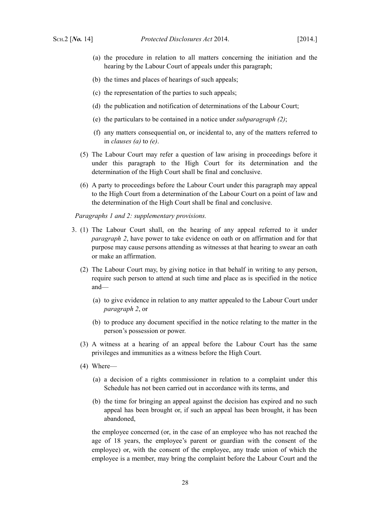- <span id="page-29-5"></span>(a) the procedure in relation to all matters concerning the initiation and the hearing by the Labour Court of appeals under this paragraph;
- (b) the times and places of hearings of such appeals;
- (c) the representation of the parties to such appeals;
- (d) the publication and notification of determinations of the Labour Court;
- <span id="page-29-4"></span>(e) the particulars to be contained in a notice under *subparagraph [\(2\)](#page-28-2)*;
- <span id="page-29-3"></span>(f) any matters consequential on, or incidental to, any of the matters referred to in *clauses [\(a\)](#page-29-5)* to *[\(e\)](#page-29-4)*.
- (5) The Labour Court may refer a question of law arising in proceedings before it under this paragraph to the High Court for its determination and the determination of the High Court shall be final and conclusive.
- (6) A party to proceedings before the Labour Court under this paragraph may appeal to the High Court from a determination of the Labour Court on a point of law and the determination of the High Court shall be final and conclusive.

*Paragraphs [1](#page-27-8) and [2:](#page-28-5) supplementary provisions.*

- <span id="page-29-2"></span><span id="page-29-1"></span><span id="page-29-0"></span>3. (1) The Labour Court shall, on the hearing of any appeal referred to it under *paragraph [2](#page-28-5)*, have power to take evidence on oath or on affirmation and for that purpose may cause persons attending as witnesses at that hearing to swear an oath or make an affirmation.
	- (2) The Labour Court may, by giving notice in that behalf in writing to any person, require such person to attend at such time and place as is specified in the notice and—
		- (a) to give evidence in relation to any matter appealed to the Labour Court under *paragraph [2](#page-28-5)*, or
		- (b) to produce any document specified in the notice relating to the matter in the person's possession or power.
	- (3) A witness at a hearing of an appeal before the Labour Court has the same privileges and immunities as a witness before the High Court.
	- (4) Where—
		- (a) a decision of a rights commissioner in relation to a complaint under this Schedule has not been carried out in accordance with its terms, and
		- (b) the time for bringing an appeal against the decision has expired and no such appeal has been brought or, if such an appeal has been brought, it has been abandoned,

<span id="page-29-8"></span><span id="page-29-7"></span><span id="page-29-6"></span>the employee concerned (or, in the case of an employee who has not reached the age of 18 years, the employee's parent or guardian with the consent of the employee) or, with the consent of the employee, any trade union of which the employee is a member, may bring the complaint before the Labour Court and the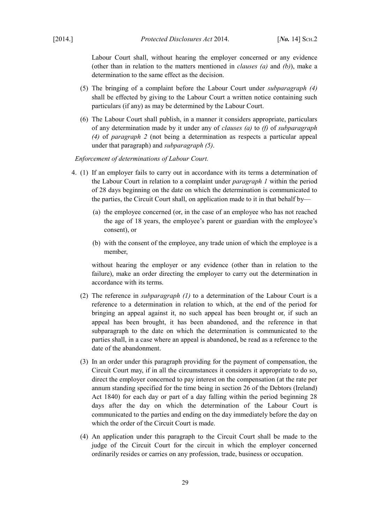[2014.] *Protected Disclosures Act* 2014. [*No.* 14] Sch.2

Labour Court shall, without hearing the employer concerned or any evidence (other than in relation to the matters mentioned in *clauses [\(a\)](#page-29-8)* and *[\(b\)](#page-29-7)*), make a determination to the same effect as the decision.

- <span id="page-30-1"></span>(5) The bringing of a complaint before the Labour Court under *subparagraph [\(4\)](#page-29-6)* shall be effected by giving to the Labour Court a written notice containing such particulars (if any) as may be determined by the Labour Court.
- (6) The Labour Court shall publish, in a manner it considers appropriate, particulars of any determination made by it under any of *clauses [\(a\)](#page-29-5)* to *[\(f\)](#page-29-3)* of *subparagraph [\(4\)](#page-29-6)* of *paragraph [2](#page-28-5)* (not being a determination as respects a particular appeal under that paragraph) and *subparagraph [\(5\)](#page-30-1)*.

### *Enforcement of determinations of Labour Court.*

- <span id="page-30-0"></span>4. (1) If an employer fails to carry out in accordance with its terms a determination of the Labour Court in relation to a complaint under *paragraph [1](#page-27-8)* within the period of 28 days beginning on the date on which the determination is communicated to the parties, the Circuit Court shall, on application made to it in that behalf by—
	- (a) the employee concerned (or, in the case of an employee who has not reached the age of 18 years, the employee's parent or guardian with the employee's consent), or
	- (b) with the consent of the employee, any trade union of which the employee is a member,

without hearing the employer or any evidence (other than in relation to the failure), make an order directing the employer to carry out the determination in accordance with its terms.

- (2) The reference in *subparagraph [\(1\)](#page-30-0)* to a determination of the Labour Court is a reference to a determination in relation to which, at the end of the period for bringing an appeal against it, no such appeal has been brought or, if such an appeal has been brought, it has been abandoned, and the reference in that subparagraph to the date on which the determination is communicated to the parties shall, in a case where an appeal is abandoned, be read as a reference to the date of the abandonment.
- (3) In an order under this paragraph providing for the payment of compensation, the Circuit Court may, if in all the circumstances it considers it appropriate to do so, direct the employer concerned to pay interest on the compensation (at the rate per annum standing specified for the time being in section 26 of the Debtors (Ireland) Act 1840) for each day or part of a day falling within the period beginning 28 days after the day on which the determination of the Labour Court is communicated to the parties and ending on the day immediately before the day on which the order of the Circuit Court is made.
- (4) An application under this paragraph to the Circuit Court shall be made to the judge of the Circuit Court for the circuit in which the employer concerned ordinarily resides or carries on any profession, trade, business or occupation.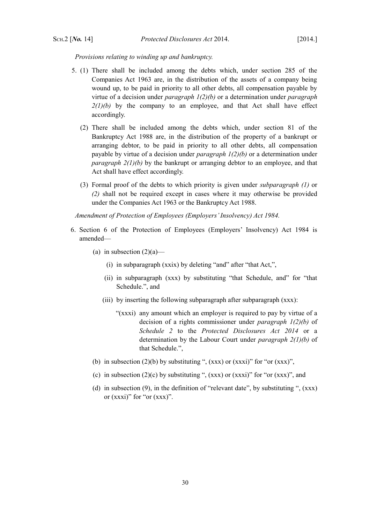*Provisions relating to winding up and bankruptcy.*

- <span id="page-31-1"></span><span id="page-31-0"></span>5. (1) There shall be included among the debts which, under section 285 of the [Companies Act 1963](http://www.irishstatutebook.ie/1963/en/act/pub/0033/index.html) are, in the distribution of the assets of a company being wound up, to be paid in priority to all other debts, all compensation payable by virtue of a decision under *paragraph [1](#page-27-8)[\(2\)](#page-27-6)[\(b\)](#page-27-10)* or a determination under *paragraph*  $2(1)$  $2(1)$ [\(b\)](#page-28-6) by the company to an employee, and that Act shall have effect accordingly.
	- (2) There shall be included among the debts which, under section 81 of the [Bankruptcy Act 1988](http://www.irishstatutebook.ie/1988/en/act/pub/0027/index.html) are, in the distribution of the property of a bankrupt or arranging debtor, to be paid in priority to all other debts, all compensation payable by virtue of a decision under *paragraph [1](#page-27-8)[\(2\)](#page-27-6)[\(b\)](#page-27-10)* or a determination under *paragraph [2](#page-28-5)[\(1\)](#page-28-7)[\(b\)](#page-28-6)* by the bankrupt or arranging debtor to an employee, and that Act shall have effect accordingly.
	- (3) Formal proof of the debts to which priority is given under *subparagraph [\(1\)](#page-31-1)* or *[\(2\)](#page-31-0)* shall not be required except in cases where it may otherwise be provided under the [Companies Act 1963](http://www.irishstatutebook.ie/1963/en/act/pub/0033/index.html) or the [Bankruptcy Act 1988.](http://www.irishstatutebook.ie/1988/en/act/pub/0027/index.html)

*Amendment of Protection of Employees (Employers' Insolvency) Act 1984.*

- 6. Section 6 of the Protection of Employees (Employers' Insolvency) Act 1984 is amended—
	- (a) in subsection  $(2)(a)$ 
		- (i) in subparagraph (xxix) by deleting "and" after "that Act,",
		- (ii) in subparagraph (xxx) by substituting "that Schedule, and" for "that Schedule.", and
		- (iii) by inserting the following subparagraph after subparagraph (xxx):
			- "(xxxi) any amount which an employer is required to pay by virtue of a decision of a rights commissioner under *paragraph [1](#page-27-8)[\(2\)](#page-27-6)[\(b\)](#page-27-10)* of *Schedule [2](#page-27-2)* to the *Protected Disclosures Act 2014* or a determination by the Labour Court under *paragraph [2](#page-28-5)[\(1\)](#page-28-7)[\(b\)](#page-28-6)* of that Schedule.",
	- (b) in subsection (2)(b) by substituting ",  $(xxx)$  or  $(xxxi)$ " for "or  $(xxx)$ ",
	- (c) in subsection  $(2)(c)$  by substituting ",  $(xxx)$  or  $(xxxi)$ " for "or  $(xxx)$ ", and
	- (d) in subsection (9), in the definition of "relevant date", by substituting ", (xxx) or  $(xxxi)$ " for "or  $(xxx)$ ".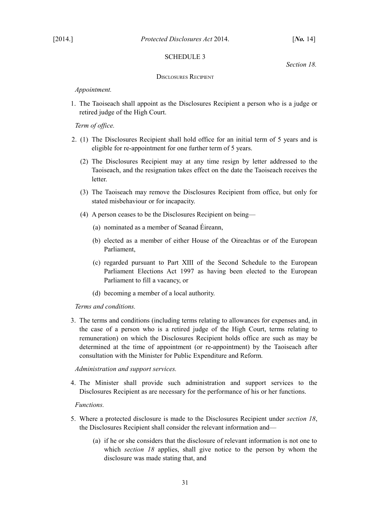### <span id="page-32-2"></span><span id="page-32-1"></span>SCHEDULE 3

*Section [18.](#page-18-1)*

#### <span id="page-32-0"></span>DISCLOSURES RECIPIENT

#### *Appointment.*

1. The Taoiseach shall appoint as the Disclosures Recipient a person who is a judge or retired judge of the High Court.

*Term of office.*

- 2. (1) The Disclosures Recipient shall hold office for an initial term of 5 years and is eligible for re-appointment for one further term of 5 years.
	- (2) The Disclosures Recipient may at any time resign by letter addressed to the Taoiseach, and the resignation takes effect on the date the Taoiseach receives the letter.
	- (3) The Taoiseach may remove the Disclosures Recipient from office, but only for stated misbehaviour or for incapacity.
	- (4) A person ceases to be the Disclosures Recipient on being—
		- (a) nominated as a member of Seanad Éireann,
		- (b) elected as a member of either House of the Oireachtas or of the European Parliament,
		- (c) regarded pursuant to Part XIII of the Second Schedule to the [European](http://www.irishstatutebook.ie/1997/en/act/pub/0002/index.html) [Parliament Elections Act 1997](http://www.irishstatutebook.ie/1997/en/act/pub/0002/index.html) as having been elected to the European Parliament to fill a vacancy, or
		- (d) becoming a member of a local authority.

*Terms and conditions.*

3. The terms and conditions (including terms relating to allowances for expenses and, in the case of a person who is a retired judge of the High Court, terms relating to remuneration) on which the Disclosures Recipient holds office are such as may be determined at the time of appointment (or re-appointment) by the Taoiseach after consultation with the Minister for Public Expenditure and Reform.

*Administration and support services.*

4. The Minister shall provide such administration and support services to the Disclosures Recipient as are necessary for the performance of his or her functions.

*Functions.*

- 5. Where a protected disclosure is made to the Disclosures Recipient under *section [18](#page-18-1)*, the Disclosures Recipient shall consider the relevant information and—
	- (a) if he or she considers that the disclosure of relevant information is not one to which *section [18](#page-18-1)* applies, shall give notice to the person by whom the disclosure was made stating that, and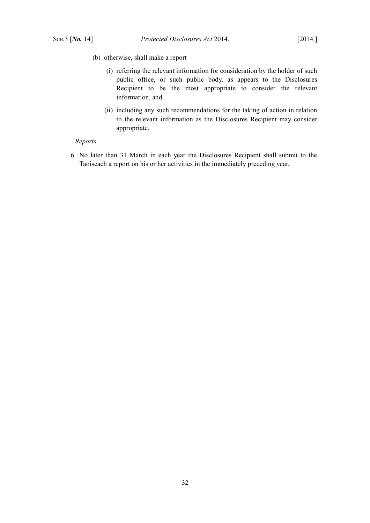- (b) otherwise, shall make a report—
	- (i) referring the relevant information for consideration by the holder of such public office, or such public body, as appears to the Disclosures Recipient to be the most appropriate to consider the relevant information, and
	- (ii) including any such recommendations for the taking of action in relation to the relevant information as the Disclosures Recipient may consider appropriate.

## *Reports.*

6. No later than 31 March in each year the Disclosures Recipient shall submit to the Taoiseach a report on his or her activities in the immediately preceding year.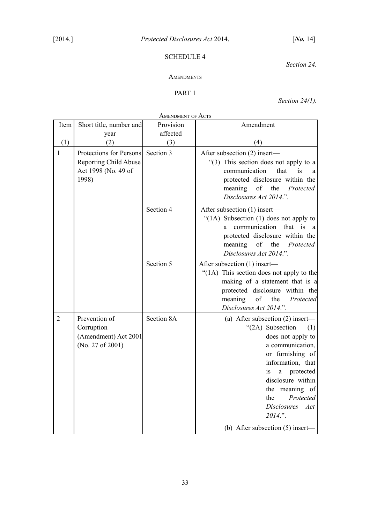## <span id="page-34-4"></span><span id="page-34-3"></span>SCHEDULE 4

*Section [24.](#page-21-9)*

### <span id="page-34-2"></span>**AMENDMENTS**

## <span id="page-34-1"></span>PART 1

*Section [24](#page-21-9)[\(1\).](#page-21-8)*

<span id="page-34-0"></span>AMENDMENT OF ACTS

| year                                                                    | affected   |                                                                                                                                                                                                                                                                                                                    |
|-------------------------------------------------------------------------|------------|--------------------------------------------------------------------------------------------------------------------------------------------------------------------------------------------------------------------------------------------------------------------------------------------------------------------|
|                                                                         |            |                                                                                                                                                                                                                                                                                                                    |
| (2)                                                                     | (3)        | (4)                                                                                                                                                                                                                                                                                                                |
| <b>Reporting Child Abuse</b><br>Act 1998 (No. 49 of<br>1998)            | Section 3  | After subsection (2) insert-<br>"(3) This section does not apply to a<br>communication<br>that<br>is<br>a<br>protected disclosure within the<br>of<br>the<br>meaning<br>Protected<br>Disclosures Act 2014.".                                                                                                       |
|                                                                         | Section 4  | After subsection (1) insert-<br>"(1A) Subsection $(1)$ does not apply to<br>communication<br>that is<br>a.<br>protected disclosure within the<br>of<br>the<br>meaning<br>Protected<br>Disclosures Act 2014.".                                                                                                      |
|                                                                         | Section 5  | After subsection (1) insert-<br>"(1A) This section does not apply to the<br>making of a statement that is a<br>protected disclosure within the<br>meaning<br>of<br>the<br>Protected<br>Disclosures Act 2014.".                                                                                                     |
| Prevention of<br>Corruption<br>(Amendment) Act 2001<br>(No. 27 of 2001) | Section 8A | (a) After subsection $(2)$ insert-<br>"(2A) Subsection<br>(1)<br>does not apply to<br>a communication,<br>or furnishing of<br>information, that<br>protected<br>is<br>a<br>disclosure within<br>the meaning of<br>Protected<br>the<br><b>Disclosures</b><br>Act<br>$2014$ ."<br>(b) After subsection $(5)$ insert- |
|                                                                         |            | Protections for Persons                                                                                                                                                                                                                                                                                            |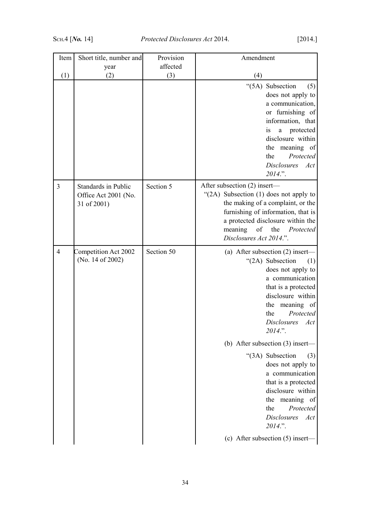| Item           | Short title, number and                                           | Provision  | Amendment                                                                                                                                                                                                                                                             |
|----------------|-------------------------------------------------------------------|------------|-----------------------------------------------------------------------------------------------------------------------------------------------------------------------------------------------------------------------------------------------------------------------|
|                | year                                                              | affected   |                                                                                                                                                                                                                                                                       |
| (1)            | (2)                                                               | (3)        | (4)                                                                                                                                                                                                                                                                   |
|                |                                                                   |            | "(5A) Subsection<br>(5)<br>does not apply to<br>a communication,<br>or furnishing of<br>information, that<br>protected<br><i>is</i><br>$\mathbf{a}$<br>disclosure within<br>the meaning of<br>Protected<br>the<br><b>Disclosures</b><br>Act<br>2014.".                |
| 3              | <b>Standards in Public</b><br>Office Act 2001 (No.<br>31 of 2001) | Section 5  | After subsection (2) insert-<br>" $(2A)$ Subsection $(1)$ does not apply to<br>the making of a complaint, or the<br>furnishing of information, that is<br>a protected disclosure within the<br>meaning<br>the<br>of<br>Protected<br>Disclosures Act 2014.".           |
| $\overline{4}$ | Competition Act 2002<br>(No. 14 of 2002)                          | Section 50 | (a) After subsection (2) insert—<br>"(2A) Subsection<br>(1)<br>does not apply to<br>a communication<br>that is a protected<br>disclosure within<br>meaning of<br>the<br>Protected<br>the<br><b>Disclosures</b><br>Act<br>2014."                                       |
|                |                                                                   |            | (b) After subsection $(3)$ insert—<br>"(3A) Subsection<br>(3)<br>does not apply to<br>a communication<br>that is a protected<br>disclosure within<br>the meaning of<br>the<br>Protected<br><b>Disclosures</b><br>Act<br>2014.".<br>(c) After subsection $(5)$ insert- |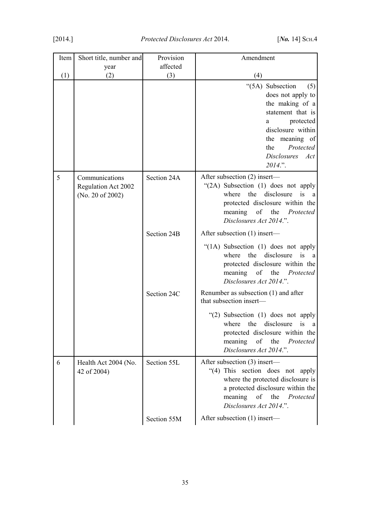| Item | Short title, number and                                          | Provision   | Amendment                                                                                                                                                                                                      |
|------|------------------------------------------------------------------|-------------|----------------------------------------------------------------------------------------------------------------------------------------------------------------------------------------------------------------|
|      | year                                                             | affected    |                                                                                                                                                                                                                |
| (1)  | (2)                                                              | (3)         | (4)                                                                                                                                                                                                            |
|      |                                                                  |             | "(5A) Subsection<br>(5)<br>does not apply to<br>the making of a<br>statement that is<br>protected<br>a<br>disclosure within<br>the meaning of<br>Protected<br>the<br>Disclosures Act<br>2014.".                |
| 5    | Communications<br><b>Regulation Act 2002</b><br>(No. 20 of 2002) | Section 24A | After subsection (2) insert-<br>" $(2A)$ Subsection $(1)$ does not apply<br>the disclosure<br>is a<br>where<br>protected disclosure within the<br>of<br>meaning<br>the<br>Protected<br>Disclosures Act 2014.". |
|      |                                                                  | Section 24B | After subsection (1) insert-                                                                                                                                                                                   |
|      |                                                                  |             | " $(1A)$ Subsection $(1)$ does not apply<br>the disclosure<br>where<br>is a<br>protected disclosure within the<br>meaning<br>of the <i>Protected</i><br>Disclosures Act 2014.".                                |
|      |                                                                  | Section 24C | Renumber as subsection (1) and after<br>that subsection insert-                                                                                                                                                |
|      |                                                                  |             | " $(2)$ Subsection $(1)$ does not apply<br>where<br>the<br>disclosure<br>is a<br>protected disclosure within the<br>of<br>meaning<br>the<br>Protected<br>Disclosures Act 2014.".                               |
| 6    | Health Act 2004 (No.<br>42 of 2004)                              | Section 55L | After subsection (3) insert-<br>"(4) This section does not apply<br>where the protected disclosure is<br>a protected disclosure within the<br>meaning<br>of the <i>Protected</i><br>Disclosures Act 2014.".    |
|      |                                                                  | Section 55M | After subsection (1) insert-                                                                                                                                                                                   |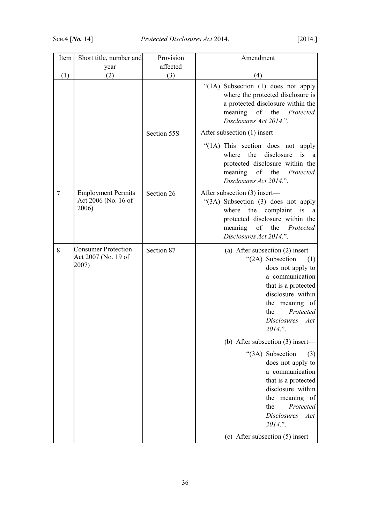| Item   | Short title, number and                                    | Provision   | Amendment                                                                                                                                                                                                                                                                                                                                                                                                                                                                                         |
|--------|------------------------------------------------------------|-------------|---------------------------------------------------------------------------------------------------------------------------------------------------------------------------------------------------------------------------------------------------------------------------------------------------------------------------------------------------------------------------------------------------------------------------------------------------------------------------------------------------|
|        | year                                                       | affected    |                                                                                                                                                                                                                                                                                                                                                                                                                                                                                                   |
| (1)    | (2)                                                        | (3)         | (4)                                                                                                                                                                                                                                                                                                                                                                                                                                                                                               |
|        |                                                            |             | " $(1A)$ Subsection $(1)$ does not apply<br>where the protected disclosure is<br>a protected disclosure within the<br>meaning of the Protected<br>Disclosures Act 2014.".                                                                                                                                                                                                                                                                                                                         |
|        |                                                            | Section 55S | After subsection (1) insert—                                                                                                                                                                                                                                                                                                                                                                                                                                                                      |
|        |                                                            |             | "(1A) This section does not apply<br>the<br>disclosure<br>where<br>is a<br>protected disclosure within the<br>meaning of the Protected<br>Disclosures Act 2014.".                                                                                                                                                                                                                                                                                                                                 |
| $\tau$ | <b>Employment Permits</b><br>Act 2006 (No. 16 of<br>2006)  | Section 26  | After subsection (3) insert—<br>"(3A) Subsection (3) does not apply<br>the complaint<br>where<br>is a<br>protected disclosure within the<br>meaning of the Protected<br>Disclosures Act 2014.".                                                                                                                                                                                                                                                                                                   |
| 8      | <b>Consumer Protection</b><br>Act 2007 (No. 19 of<br>2007) | Section 87  | (a) After subsection $(2)$ insert—<br>"(2A) Subsection<br>(1)<br>does not apply to<br>a communication<br>that is a protected<br>disclosure within<br>the meaning of<br>Protected<br>the<br>Disclosures Act<br>2014.".<br>(b) After subsection $(3)$ insert-<br>"(3A) Subsection<br>(3)<br>does not apply to<br>a communication<br>that is a protected<br>disclosure within<br>meaning of<br>the<br>the<br>Protected<br><b>Disclosures</b><br>Act<br>2014.".<br>(c) After subsection $(5)$ insert- |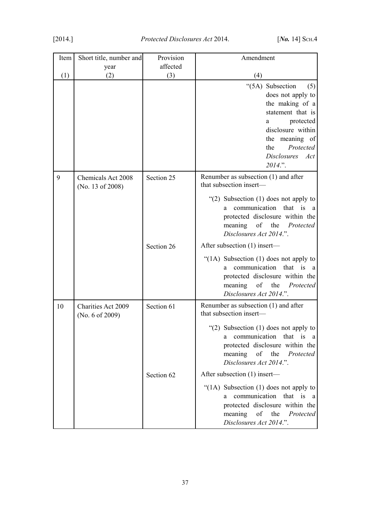| Item | Short title, number and                      | Provision  | Amendment                                                                                                                                                                                          |
|------|----------------------------------------------|------------|----------------------------------------------------------------------------------------------------------------------------------------------------------------------------------------------------|
|      | year                                         | affected   |                                                                                                                                                                                                    |
| (1)  | (2)                                          | (3)        | (4)                                                                                                                                                                                                |
|      |                                              |            | "(5A) Subsection<br>(5)<br>does not apply to<br>the making of a<br>statement that is<br>protected<br>a<br>disclosure within<br>the meaning of<br>Protected<br>the<br>Disclosures Act<br>$2014$ .". |
| 9    | Chemicals Act 2008<br>(No. 13 of 2008)       | Section 25 | Renumber as subsection (1) and after<br>that subsection insert-                                                                                                                                    |
|      |                                              |            | "(2) Subsection $(1)$ does not apply to<br>communication that is a<br>a<br>protected disclosure within the<br>meaning<br>of the <i>Protected</i><br>Disclosures Act 2014.".                        |
|      |                                              | Section 26 | After subsection (1) insert-                                                                                                                                                                       |
|      |                                              |            | " $(1A)$ Subsection $(1)$ does not apply to<br>communication that is a<br>a<br>protected disclosure within the<br>meaning<br>of<br>the<br>Protected<br>Disclosures Act 2014.".                     |
| 10   | <b>Charities Act 2009</b><br>(No. 6 of 2009) | Section 61 | Renumber as subsection (1) and after<br>that subsection insert-                                                                                                                                    |
|      |                                              |            | "(2) Subsection (1) does not apply to<br>that<br>communication<br>is<br><sub>a</sub><br>a<br>protected disclosure within the<br>meaning of the Protected<br>Disclosures Act 2014.".                |
|      |                                              | Section 62 | After subsection (1) insert—                                                                                                                                                                       |
|      |                                              |            | "(1A) Subsection $(1)$ does not apply to<br>communication that is a<br>a<br>protected disclosure within the<br>meaning of the <i>Protected</i><br>Disclosures Act 2014.".                          |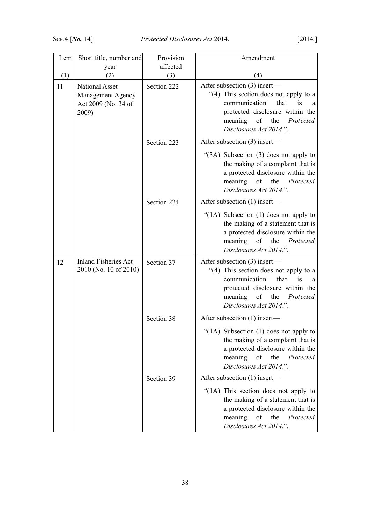| Item | Short title, number and                                                    | Provision   | Amendment                                                                                                                                                                                                       |
|------|----------------------------------------------------------------------------|-------------|-----------------------------------------------------------------------------------------------------------------------------------------------------------------------------------------------------------------|
|      | year                                                                       | affected    |                                                                                                                                                                                                                 |
| (1)  | (2)                                                                        | (3)         | (4)                                                                                                                                                                                                             |
| 11   | National Asset<br><b>Management Agency</b><br>Act 2009 (No. 34 of<br>2009) | Section 222 | After subsection (3) insert-<br>"(4) This section does not apply to a<br>communication<br>that<br>is<br>a<br>protected disclosure within the<br>meaning<br>of<br>the<br>Protected<br>Disclosures Act 2014.".    |
|      |                                                                            | Section 223 | After subsection (3) insert—                                                                                                                                                                                    |
|      |                                                                            |             | " $(3A)$ Subsection $(3)$ does not apply to<br>the making of a complaint that is<br>a protected disclosure within the<br>of<br>the<br>meaning<br>Protected<br>Disclosures Act 2014.".                           |
|      |                                                                            | Section 224 | After subsection (1) insert—                                                                                                                                                                                    |
|      |                                                                            |             | "(1A) Subsection $(1)$ does not apply to<br>the making of a statement that is<br>a protected disclosure within the<br>of<br>the<br>meaning<br>Protected<br>Disclosures Act 2014.".                              |
| 12   | <b>Inland Fisheries Act</b><br>2010 (No. 10 of 2010)                       | Section 37  | After subsection (3) insert—<br>"(4) This section does not apply to a<br>communication<br>that<br><i>is</i><br>a l<br>protected disclosure within the<br>of the Protected<br>meaning<br>Disclosures Act 2014.". |
|      |                                                                            | Section 38  | After subsection (1) insert—                                                                                                                                                                                    |
|      |                                                                            |             | "(1A) Subsection $(1)$ does not apply to<br>the making of a complaint that is<br>a protected disclosure within the<br>of the Protected<br>meaning<br>Disclosures Act 2014.".                                    |
|      |                                                                            | Section 39  | After subsection (1) insert—                                                                                                                                                                                    |
|      |                                                                            |             | "(1A) This section does not apply to<br>the making of a statement that is<br>a protected disclosure within the<br>meaning<br>of the Protected<br>Disclosures Act 2014.".                                        |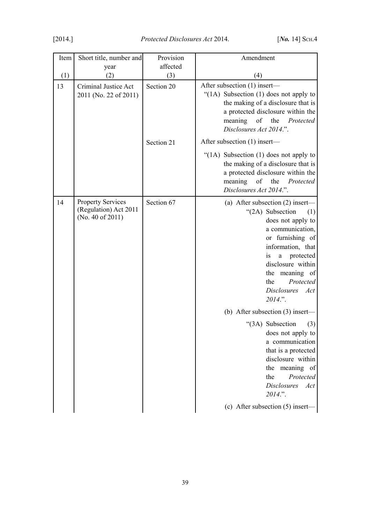| Item | Short title, number and                                               | Provision  | Amendment                                                                                                                                                                                                                                                                                                                                                                                                                                                                                                                                         |
|------|-----------------------------------------------------------------------|------------|---------------------------------------------------------------------------------------------------------------------------------------------------------------------------------------------------------------------------------------------------------------------------------------------------------------------------------------------------------------------------------------------------------------------------------------------------------------------------------------------------------------------------------------------------|
|      | year                                                                  | affected   |                                                                                                                                                                                                                                                                                                                                                                                                                                                                                                                                                   |
| (1)  | (2)                                                                   | (3)        | (4)                                                                                                                                                                                                                                                                                                                                                                                                                                                                                                                                               |
| 13   | Criminal Justice Act<br>2011 (No. 22 of 2011)                         | Section 20 | After subsection (1) insert—<br>" $(1A)$ Subsection $(1)$ does not apply to<br>the making of a disclosure that is<br>a protected disclosure within the<br>meaning<br>of the Protected<br>Disclosures Act 2014.".                                                                                                                                                                                                                                                                                                                                  |
|      |                                                                       | Section 21 | After subsection (1) insert—                                                                                                                                                                                                                                                                                                                                                                                                                                                                                                                      |
|      |                                                                       |            | "(1A) Subsection $(1)$ does not apply to<br>the making of a disclosure that is<br>a protected disclosure within the<br>meaning<br>of<br>the<br>Protected<br>Disclosures Act 2014.".                                                                                                                                                                                                                                                                                                                                                               |
| 14   | <b>Property Services</b><br>(Regulation) Act 2011<br>(No. 40 of 2011) | Section 67 | (a) After subsection $(2)$ insert—<br>"(2A) Subsection<br>(1)<br>does not apply to<br>a communication,<br>or furnishing of<br>information, that<br>protected<br>is<br>a<br>disclosure within<br>meaning of<br>the<br>the<br>Protected<br>Disclosures Act<br>2014.".<br>(b) After subsection $(3)$ insert—<br>"(3A) Subsection<br>(3)<br>does not apply to<br>a communication<br>that is a protected<br>disclosure within<br>meaning of<br>the<br>the<br>Protected<br><b>Disclosures</b><br>Act<br>2014.".<br>$(c)$ After subsection $(5)$ insert- |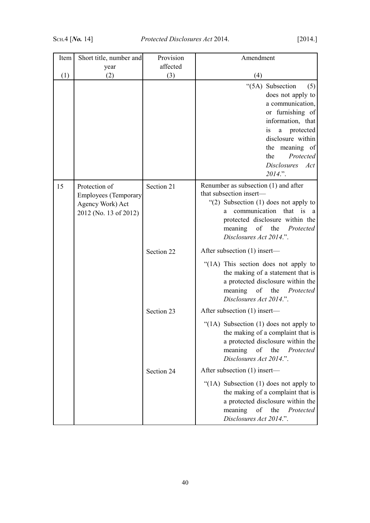| Item | Short title, number and                                                            | Provision  | Amendment                                                                                                                                                                                                                                             |
|------|------------------------------------------------------------------------------------|------------|-------------------------------------------------------------------------------------------------------------------------------------------------------------------------------------------------------------------------------------------------------|
|      | year                                                                               | affected   |                                                                                                                                                                                                                                                       |
| (1)  | (2)                                                                                | (3)        | (4)                                                                                                                                                                                                                                                   |
|      |                                                                                    |            | "(5A) Subsection<br>(5)<br>does not apply to<br>a communication,<br>or furnishing of<br>information, that<br>protected<br><i>is</i><br>a<br>disclosure within<br>the meaning of<br>the<br>Protected<br>Disclosures Act<br>$2014$ .".                  |
| 15   | Protection of<br>Employees (Temporary<br>Agency Work) Act<br>2012 (No. 13 of 2012) | Section 21 | Renumber as subsection (1) and after<br>that subsection insert-<br>"(2) Subsection $(1)$ does not apply to<br>communication that is<br><sub>a</sub><br>a<br>protected disclosure within the<br>meaning<br>of the Protected<br>Disclosures Act 2014.". |
|      |                                                                                    | Section 22 | After subsection (1) insert—                                                                                                                                                                                                                          |
|      |                                                                                    |            | "(1A) This section does not apply to<br>the making of a statement that is<br>a protected disclosure within the<br>of the Protected<br>meaning<br>Disclosures Act 2014.".                                                                              |
|      |                                                                                    | Section 23 | After subsection (1) insert—                                                                                                                                                                                                                          |
|      |                                                                                    |            | "(1A) Subsection $(1)$ does not apply to<br>the making of a complaint that is<br>a protected disclosure within the<br>the<br>meaning<br>of<br>Protected<br>Disclosures Act 2014.".                                                                    |
|      |                                                                                    | Section 24 | After subsection (1) insert—                                                                                                                                                                                                                          |
|      |                                                                                    |            | "(1A) Subsection $(1)$ does not apply to<br>the making of a complaint that is<br>a protected disclosure within the<br>of<br>the<br>meaning<br>Protected<br>Disclosures Act 2014.".                                                                    |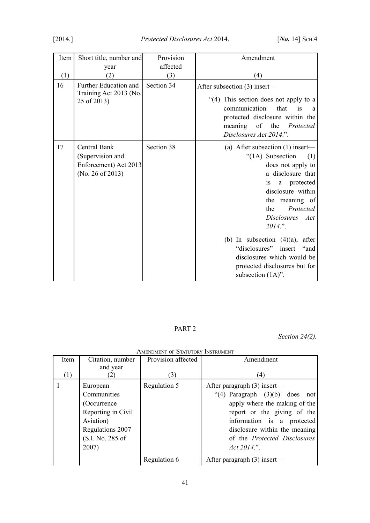| Item | Short title, number and                                                       | Provision  | Amendment                                                                                                                                                                                                                                                                                                                                                                                   |
|------|-------------------------------------------------------------------------------|------------|---------------------------------------------------------------------------------------------------------------------------------------------------------------------------------------------------------------------------------------------------------------------------------------------------------------------------------------------------------------------------------------------|
|      | year                                                                          | affected   |                                                                                                                                                                                                                                                                                                                                                                                             |
| (1)  | (2)                                                                           | (3)        | (4)                                                                                                                                                                                                                                                                                                                                                                                         |
| 16   | Further Education and<br>Training Act 2013 (No.<br>25 of 2013)                | Section 34 | After subsection (3) insert—<br>"(4) This section does not apply to a<br>communication<br>that<br><i>is</i><br>a<br>protected disclosure within the<br>of the Protected<br>meaning<br>Disclosures Act 2014.".                                                                                                                                                                               |
| 17   | Central Bank<br>(Supervision and<br>Enforcement) Act 2013<br>(No. 26 of 2013) | Section 38 | (a) After subsection $(1)$ insert—<br>"(1A) Subsection<br>(1)<br>does not apply to<br>a disclosure that<br>a protected<br>1S<br>disclosure within<br>the meaning of<br>Protected<br>the<br><b>Disclosures</b><br>Act<br>$2014$ ."<br>(b) In subsection $(4)(a)$ , after<br>"disclosures" insert "and<br>disclosures which would be<br>protected disclosures but for<br>subsection $(1A)$ ". |

## <span id="page-42-1"></span>PART 2

*Section [24](#page-21-9)[\(2\).](#page-22-0)*

| Item             | Citation, number   | Provision affected | Amendment                        |
|------------------|--------------------|--------------------|----------------------------------|
|                  | and year           |                    |                                  |
| $\left(1\right)$ |                    | (3)                | (4)                              |
|                  | European           | Regulation 5       | After paragraph $(3)$ insert—    |
|                  | Communities        |                    | "(4) Paragraph $(3)(b)$ does not |
|                  | (Occurrence)       |                    | apply where the making of the    |
|                  | Reporting in Civil |                    | report or the giving of the      |
|                  | Aviation)          |                    | information is a protected       |
|                  | Regulations 2007   |                    | disclosure within the meaning    |
|                  | (S.I. No. 285 of   |                    | of the Protected Disclosures     |
|                  | 2007)              |                    | Act $2014$ ."                    |
|                  |                    | Regulation 6       | After paragraph $(3)$ insert—    |

# <span id="page-42-0"></span>AMENDMENT OF STATUTORY INSTRUMENT